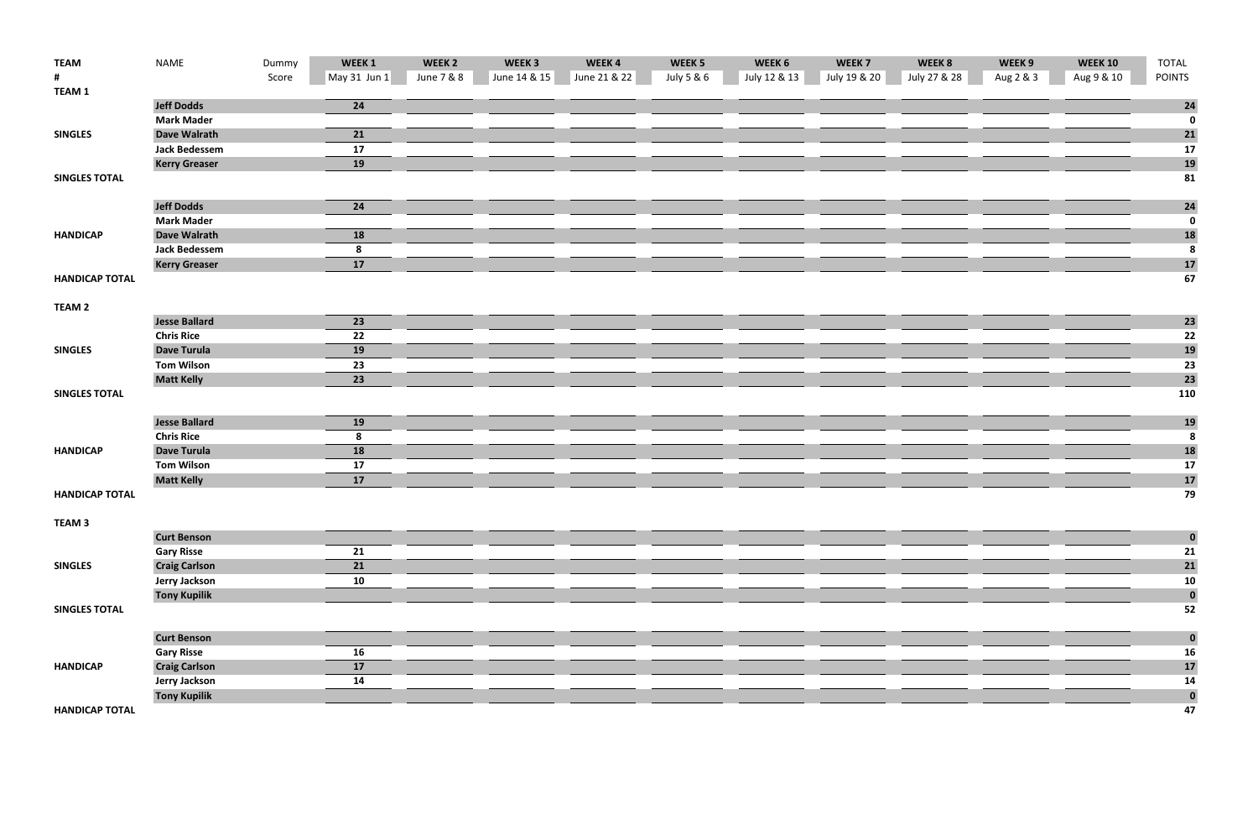| <b>TEAM</b>           | <b>NAME</b>          | Dummy | WEEK <sub>1</sub> | WEEK <sub>2</sub> | WEEK <sub>3</sub> | WEEK4        | WEEK <sub>5</sub> | WEEK 6       | WEEK <sub>7</sub> | WEEK 8       | WEEK 9    | <b>WEEK 10</b> | TOTAL            |
|-----------------------|----------------------|-------|-------------------|-------------------|-------------------|--------------|-------------------|--------------|-------------------|--------------|-----------|----------------|------------------|
| #                     |                      | Score | $May 31$ Jun 1    | June 7 & 8        | June 14 & 15      | June 21 & 22 | July 5 & 6        | July 12 & 13 | July 19 & 20      | July 27 & 28 | Aug 2 & 3 | Aug 9 & 10     | <b>POINTS</b>    |
| <b>TEAM1</b>          |                      |       |                   |                   |                   |              |                   |              |                   |              |           |                |                  |
|                       | <b>Jeff Dodds</b>    |       | 24                |                   |                   |              |                   |              |                   |              |           |                | 24               |
|                       | <b>Mark Mader</b>    |       |                   |                   |                   |              |                   |              |                   |              |           |                | $\mathbf 0$      |
| <b>SINGLES</b>        | <b>Dave Walrath</b>  |       | 21                |                   |                   |              |                   |              |                   |              |           |                | $\mathbf{21}$    |
|                       | <b>Jack Bedessem</b> |       | 17                |                   |                   |              |                   |              |                   |              |           |                | 17               |
|                       | <b>Kerry Greaser</b> |       | 19                |                   |                   |              |                   |              |                   |              |           |                | 19               |
| <b>SINGLES TOTAL</b>  |                      |       |                   |                   |                   |              |                   |              |                   |              |           |                | 81               |
|                       | <b>Jeff Dodds</b>    |       | 24                |                   |                   |              |                   |              |                   |              |           |                | 24               |
|                       | <b>Mark Mader</b>    |       |                   |                   |                   |              |                   |              |                   |              |           |                | $\mathbf 0$      |
| <b>HANDICAP</b>       | <b>Dave Walrath</b>  |       | 18                |                   |                   |              |                   |              |                   |              |           |                | <b>18</b>        |
|                       | <b>Jack Bedessem</b> |       | 8                 |                   |                   |              |                   |              |                   |              |           |                | $\boldsymbol{8}$ |
|                       | <b>Kerry Greaser</b> |       | 17                |                   |                   |              |                   |              |                   |              |           |                | 17               |
| <b>HANDICAP TOTAL</b> |                      |       |                   |                   |                   |              |                   |              |                   |              |           |                | 67               |
|                       |                      |       |                   |                   |                   |              |                   |              |                   |              |           |                |                  |
| TEAM <sub>2</sub>     |                      |       |                   |                   |                   |              |                   |              |                   |              |           |                |                  |
|                       | <b>Jesse Ballard</b> |       | 23                |                   |                   |              |                   |              |                   |              |           |                | 23               |
|                       | <b>Chris Rice</b>    |       | 22                |                   |                   |              |                   |              |                   |              |           |                | 22               |
| <b>SINGLES</b>        | <b>Dave Turula</b>   |       | 19                |                   |                   |              |                   |              |                   |              |           |                | 19               |
|                       | <b>Tom Wilson</b>    |       | 23                |                   |                   |              |                   |              |                   |              |           |                | 23               |
|                       | <b>Matt Kelly</b>    |       | 23                |                   |                   |              |                   |              |                   |              |           |                | 23               |
| <b>SINGLES TOTAL</b>  |                      |       |                   |                   |                   |              |                   |              |                   |              |           |                | 110              |
|                       |                      |       |                   |                   |                   |              |                   |              |                   |              |           |                |                  |
|                       | <b>Jesse Ballard</b> |       | 19                |                   |                   |              |                   |              |                   |              |           |                | 19               |
|                       | <b>Chris Rice</b>    |       | 8                 |                   |                   |              |                   |              |                   |              |           |                | 8                |
| <b>HANDICAP</b>       | <b>Dave Turula</b>   |       | 18                |                   |                   |              |                   |              |                   |              |           |                | <b>18</b>        |
|                       | <b>Tom Wilson</b>    |       | 17                |                   |                   |              |                   |              |                   |              |           |                | 17               |
|                       | <b>Matt Kelly</b>    |       | 17                |                   |                   |              |                   |              |                   |              |           |                | 17               |
| <b>HANDICAP TOTAL</b> |                      |       |                   |                   |                   |              |                   |              |                   |              |           |                | 79               |
| TEAM <sub>3</sub>     |                      |       |                   |                   |                   |              |                   |              |                   |              |           |                |                  |
|                       | <b>Curt Benson</b>   |       |                   |                   |                   |              |                   |              |                   |              |           |                | $\bf{0}$         |
|                       | <b>Gary Risse</b>    |       | 21                |                   |                   |              |                   |              |                   |              |           |                | 21               |
| <b>SINGLES</b>        | <b>Craig Carlson</b> |       | 21                |                   |                   |              |                   |              |                   |              |           |                | 21               |
|                       | <b>Jerry Jackson</b> |       | 10                |                   |                   |              |                   |              |                   |              |           |                | 10               |
|                       | <b>Tony Kupilik</b>  |       |                   |                   |                   |              |                   |              |                   |              |           |                | $\bf{0}$         |
| <b>SINGLES TOTAL</b>  |                      |       |                   |                   |                   |              |                   |              |                   |              |           |                | 52               |
|                       | <b>Curt Benson</b>   |       |                   |                   |                   |              |                   |              |                   |              |           |                | $\bf{0}$         |
|                       | <b>Gary Risse</b>    |       | 16                |                   |                   |              |                   |              |                   |              |           |                | <b>16</b>        |
| <b>HANDICAP</b>       | <b>Craig Carlson</b> |       | 17                |                   |                   |              |                   |              |                   |              |           |                | 17               |
|                       | <b>Jerry Jackson</b> |       | 14                |                   |                   |              |                   |              |                   |              |           |                | 14               |
|                       | <b>Tony Kupilik</b>  |       |                   |                   |                   |              |                   |              |                   |              |           |                | $\bf{0}$         |
| <b>HANDICAP TOTAL</b> |                      |       |                   |                   |                   |              |                   |              |                   |              |           |                | 47               |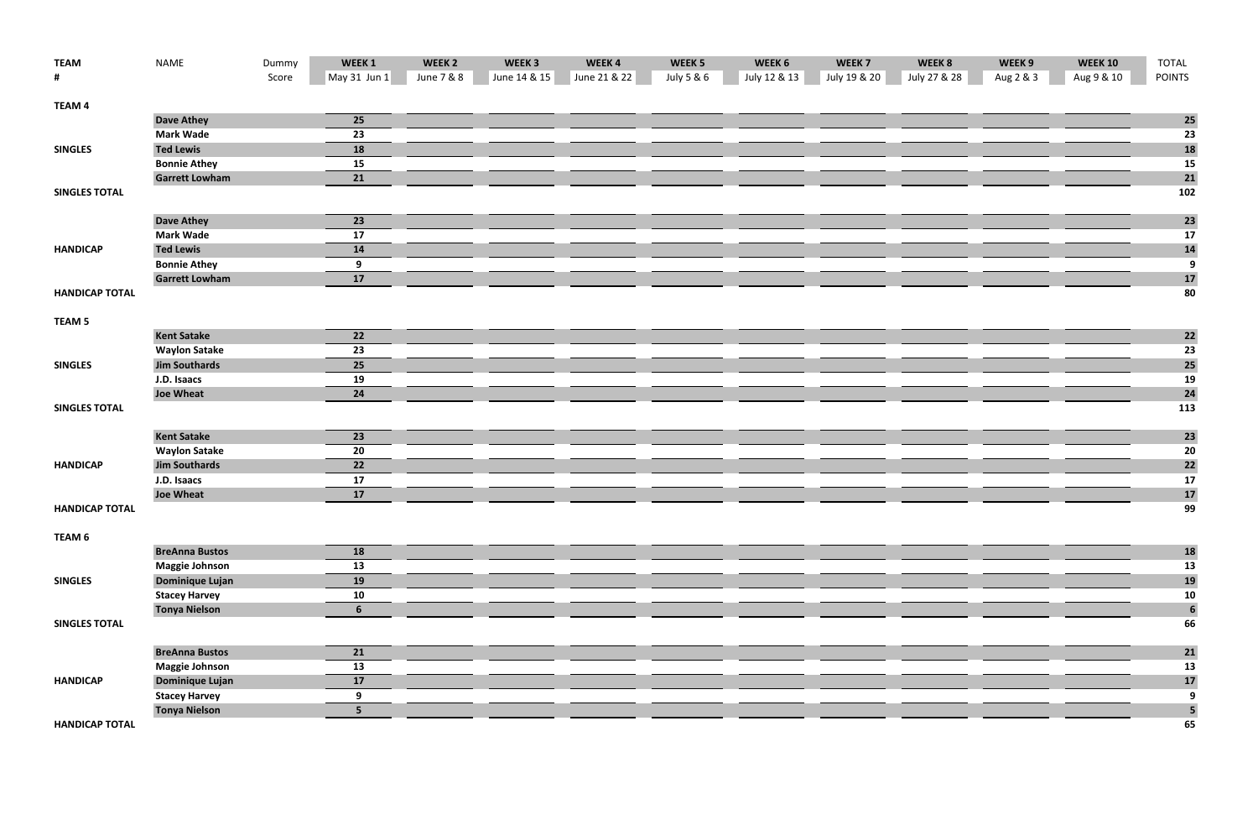| <b>TEAM</b>           | <b>NAME</b>            | Dummy | WEEK1          | WEEK <sub>2</sub> | WEEK <sub>3</sub> | WEEK4        | WEEK <sub>5</sub> | WEEK 6       | WEEK <sub>7</sub> | WEEK 8       | WEEK 9    | <b>WEEK 10</b> | <b>TOTAL</b>            |
|-----------------------|------------------------|-------|----------------|-------------------|-------------------|--------------|-------------------|--------------|-------------------|--------------|-----------|----------------|-------------------------|
| #                     |                        | Score | May 31 Jun 1   | June 7 & 8        | June 14 & 15      | June 21 & 22 | July 5 & 6        | July 12 & 13 | July 19 & 20      | July 27 & 28 | Aug 2 & 3 | Aug 9 & 10     | <b>POINTS</b>           |
| TEAM 4                |                        |       |                |                   |                   |              |                   |              |                   |              |           |                |                         |
|                       | <b>Dave Athey</b>      |       | 25             |                   |                   |              |                   |              |                   |              |           |                | <b>25</b>               |
|                       | <b>Mark Wade</b>       |       | 23             |                   |                   |              |                   |              |                   |              |           |                | 23                      |
| <b>SINGLES</b>        | <b>Ted Lewis</b>       |       | 18             |                   |                   |              |                   |              |                   |              |           |                | 18                      |
|                       | <b>Bonnie Athey</b>    |       | 15             |                   |                   |              |                   |              |                   |              |           |                | 15                      |
|                       | <b>Garrett Lowham</b>  |       | 21             |                   |                   |              |                   |              |                   |              |           |                | 21                      |
| <b>SINGLES TOTAL</b>  |                        |       |                |                   |                   |              |                   |              |                   |              |           |                | 102                     |
|                       | <b>Dave Athey</b>      |       | 23             |                   |                   |              |                   |              |                   |              |           |                | 23                      |
|                       | <b>Mark Wade</b>       |       | 17             |                   |                   |              |                   |              |                   |              |           |                | 17                      |
| <b>HANDICAP</b>       | <b>Ted Lewis</b>       |       | 14             |                   |                   |              |                   |              |                   |              |           |                | 14                      |
|                       | <b>Bonnie Athey</b>    |       | 9              |                   |                   |              |                   |              |                   |              |           |                | $\boldsymbol{9}$        |
|                       | <b>Garrett Lowham</b>  |       | 17             |                   |                   |              |                   |              |                   |              |           |                | 17                      |
| <b>HANDICAP TOTAL</b> |                        |       |                |                   |                   |              |                   |              |                   |              |           |                | 80                      |
| TEAM <sub>5</sub>     |                        |       |                |                   |                   |              |                   |              |                   |              |           |                |                         |
|                       | <b>Kent Satake</b>     |       | 22             |                   |                   |              |                   |              |                   |              |           |                | <b>22</b>               |
|                       | <b>Waylon Satake</b>   |       | 23             |                   |                   |              |                   |              |                   |              |           |                | 23                      |
| <b>SINGLES</b>        | <b>Jim Southards</b>   |       | 25             |                   |                   |              |                   |              |                   |              |           |                | 25                      |
|                       | J.D. Isaacs            |       | 19             |                   |                   |              |                   |              |                   |              |           |                | 19                      |
|                       | <b>Joe Wheat</b>       |       | 24             |                   |                   |              |                   |              |                   |              |           |                | 24                      |
| <b>SINGLES TOTAL</b>  |                        |       |                |                   |                   |              |                   |              |                   |              |           |                | 113                     |
|                       | <b>Kent Satake</b>     |       | 23             |                   |                   |              |                   |              |                   |              |           |                | 23                      |
|                       | <b>Waylon Satake</b>   |       | 20             |                   |                   |              |                   |              |                   |              |           |                | 20                      |
| <b>HANDICAP</b>       | <b>Jim Southards</b>   |       | 22             |                   |                   |              |                   |              |                   |              |           |                | <b>22</b>               |
|                       | J.D. Isaacs            |       | 17             |                   |                   |              |                   |              |                   |              |           |                | 17                      |
|                       | <b>Joe Wheat</b>       |       | 17             |                   |                   |              |                   |              |                   |              |           |                | $17$                    |
| <b>HANDICAP TOTAL</b> |                        |       |                |                   |                   |              |                   |              |                   |              |           |                | 99                      |
| TEAM 6                |                        |       |                |                   |                   |              |                   |              |                   |              |           |                |                         |
|                       | <b>BreAnna Bustos</b>  |       | 18             |                   |                   |              |                   |              |                   |              |           |                | <b>18</b>               |
|                       | <b>Maggie Johnson</b>  |       | 13             |                   |                   |              |                   |              |                   |              |           |                | 13                      |
| <b>SINGLES</b>        | <b>Dominique Lujan</b> |       | 19             |                   |                   |              |                   |              |                   |              |           |                | 19                      |
|                       | <b>Stacey Harvey</b>   |       | 10             |                   |                   |              |                   |              |                   |              |           |                | 10                      |
|                       | <b>Tonya Nielson</b>   |       | 6              |                   |                   |              |                   |              |                   |              |           |                | $6\phantom{a}$          |
| <b>SINGLES TOTAL</b>  |                        |       |                |                   |                   |              |                   |              |                   |              |           |                | 66                      |
|                       | <b>BreAnna Bustos</b>  |       | 21             |                   |                   |              |                   |              |                   |              |           |                | 21                      |
|                       | <b>Maggie Johnson</b>  |       | 13             |                   |                   |              |                   |              |                   |              |           |                | 13                      |
| <b>HANDICAP</b>       | Dominique Lujan        |       | 17             |                   |                   |              |                   |              |                   |              |           |                | 17                      |
|                       | <b>Stacey Harvey</b>   |       | 9              |                   |                   |              |                   |              |                   |              |           |                | $\overline{9}$          |
|                       | <b>Tonya Nielson</b>   |       | 5 <sup>1</sup> |                   |                   |              |                   |              |                   |              |           |                | $\overline{\mathbf{5}}$ |
| <b>HANDICAP TOTAL</b> |                        |       |                |                   |                   |              |                   |              |                   |              |           |                | 65                      |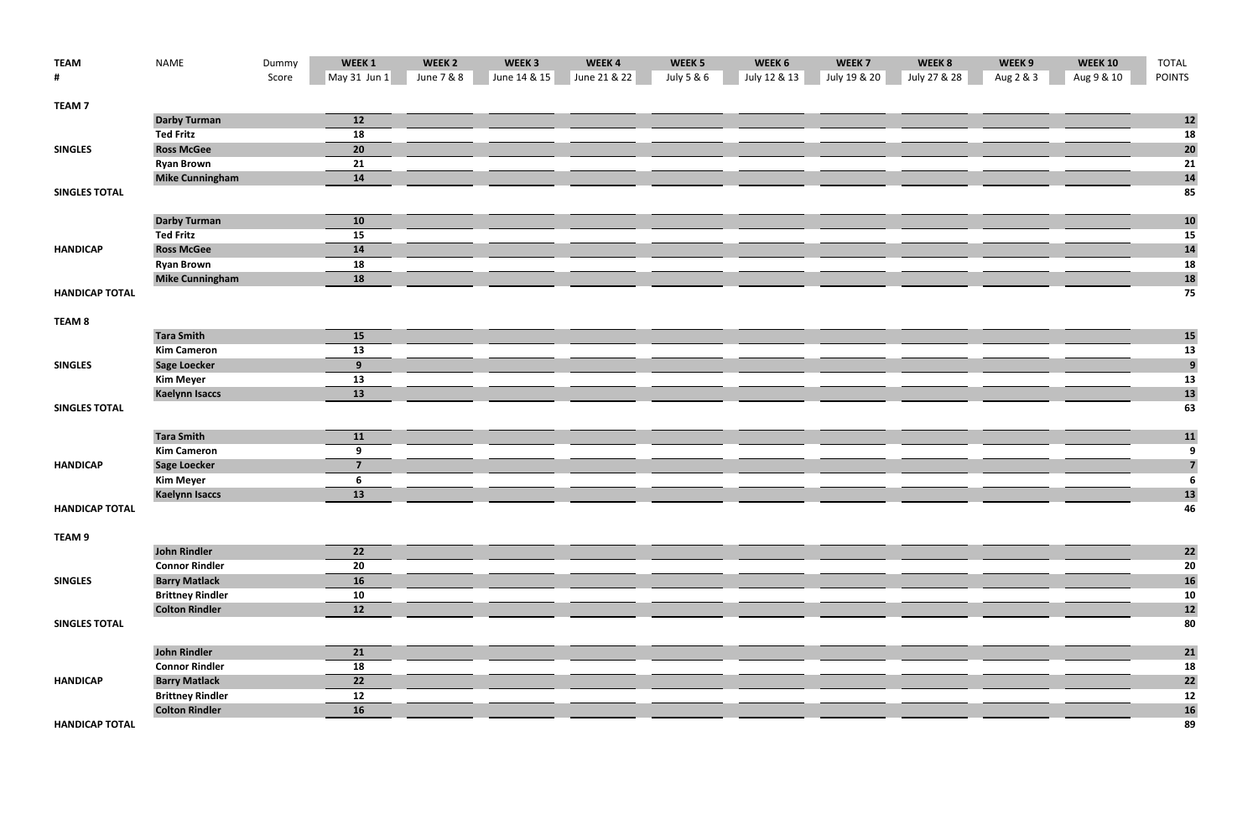| <b>TEAM</b>           | <b>NAME</b>             | Dummy | WEEK1          | WEEK <sub>2</sub> | WEEK <sub>3</sub> | WEEK4        | WEEK <sub>5</sub> | WEEK 6       | WEEK <sub>7</sub> | WEEK 8       | WEEK 9    | <b>WEEK 10</b> | <b>TOTAL</b>            |
|-----------------------|-------------------------|-------|----------------|-------------------|-------------------|--------------|-------------------|--------------|-------------------|--------------|-----------|----------------|-------------------------|
| #                     |                         | Score | May 31 Jun 1   | June 7 & 8        | June 14 & 15      | June 21 & 22 | July 5 & 6        | July 12 & 13 | July 19 & 20      | July 27 & 28 | Aug 2 & 3 | Aug 9 & 10     | <b>POINTS</b>           |
| <b>TEAM7</b>          |                         |       |                |                   |                   |              |                   |              |                   |              |           |                |                         |
|                       | <b>Darby Turman</b>     |       | 12             |                   |                   |              |                   |              |                   |              |           |                | 12                      |
|                       | <b>Ted Fritz</b>        |       | 18             |                   |                   |              |                   |              |                   |              |           |                | 18                      |
| <b>SINGLES</b>        | <b>Ross McGee</b>       |       | 20             |                   |                   |              |                   |              |                   |              |           |                | 20                      |
|                       | <b>Ryan Brown</b>       |       | 21             |                   |                   |              |                   |              |                   |              |           |                | 21                      |
|                       | <b>Mike Cunningham</b>  |       | 14             |                   |                   |              |                   |              |                   |              |           |                | 14                      |
| <b>SINGLES TOTAL</b>  |                         |       |                |                   |                   |              |                   |              |                   |              |           |                | 85                      |
|                       | <b>Darby Turman</b>     |       | 10             |                   |                   |              |                   |              |                   |              |           |                | <b>10</b>               |
|                       | <b>Ted Fritz</b>        |       | 15             |                   |                   |              |                   |              |                   |              |           |                | 15                      |
| <b>HANDICAP</b>       | <b>Ross McGee</b>       |       | 14             |                   |                   |              |                   |              |                   |              |           |                | <b>14</b>               |
|                       | <b>Ryan Brown</b>       |       | 18             |                   |                   |              |                   |              |                   |              |           |                | 18                      |
|                       | <b>Mike Cunningham</b>  |       | 18             |                   |                   |              |                   |              |                   |              |           |                | 18                      |
| <b>HANDICAP TOTAL</b> |                         |       |                |                   |                   |              |                   |              |                   |              |           |                | 75                      |
| TEAM <sub>8</sub>     |                         |       |                |                   |                   |              |                   |              |                   |              |           |                |                         |
|                       | <b>Tara Smith</b>       |       | 15             |                   |                   |              |                   |              |                   |              |           |                | <b>15</b>               |
|                       | <b>Kim Cameron</b>      |       | 13             |                   |                   |              |                   |              |                   |              |           |                | 13                      |
| <b>SINGLES</b>        | <b>Sage Loecker</b>     |       | 9              |                   |                   |              |                   |              |                   |              |           |                | $\overline{9}$          |
|                       | <b>Kim Meyer</b>        |       | 13             |                   |                   |              |                   |              |                   |              |           |                | 13                      |
|                       | <b>Kaelynn Isaccs</b>   |       | 13             |                   |                   |              |                   |              |                   |              |           |                | 13                      |
| <b>SINGLES TOTAL</b>  |                         |       |                |                   |                   |              |                   |              |                   |              |           |                | 63                      |
|                       | <b>Tara Smith</b>       |       | 11             |                   |                   |              |                   |              |                   |              |           |                | 11                      |
|                       | <b>Kim Cameron</b>      |       | 9              |                   |                   |              |                   |              |                   |              |           |                | $\overline{9}$          |
| <b>HANDICAP</b>       | <b>Sage Loecker</b>     |       | $\overline{7}$ |                   |                   |              |                   |              |                   |              |           |                | $\overline{\mathbf{z}}$ |
|                       | <b>Kim Meyer</b>        |       | 6              |                   |                   |              |                   |              |                   |              |           |                | $\boldsymbol{6}$        |
|                       | <b>Kaelynn Isaccs</b>   |       | 13             |                   |                   |              |                   |              |                   |              |           |                | 13                      |
| <b>HANDICAP TOTAL</b> |                         |       |                |                   |                   |              |                   |              |                   |              |           |                | 46                      |
| TEAM 9                |                         |       |                |                   |                   |              |                   |              |                   |              |           |                |                         |
|                       | <b>John Rindler</b>     |       | 22             |                   |                   |              |                   |              |                   |              |           |                | 22                      |
|                       | <b>Connor Rindler</b>   |       | 20             |                   |                   |              |                   |              |                   |              |           |                | 20                      |
| <b>SINGLES</b>        | <b>Barry Matlack</b>    |       | 16             |                   |                   |              |                   |              |                   |              |           |                | 16                      |
|                       | <b>Brittney Rindler</b> |       | 10             |                   |                   |              |                   |              |                   |              |           |                | 10                      |
|                       | <b>Colton Rindler</b>   |       | 12             |                   |                   |              |                   |              |                   |              |           |                | 12                      |
| <b>SINGLES TOTAL</b>  |                         |       |                |                   |                   |              |                   |              |                   |              |           |                | 80                      |
|                       | <b>John Rindler</b>     |       | 21             |                   |                   |              |                   |              |                   |              |           |                | 21                      |
|                       | <b>Connor Rindler</b>   |       | 18             |                   |                   |              |                   |              |                   |              |           |                | 18                      |
| <b>HANDICAP</b>       | <b>Barry Matlack</b>    |       | 22             |                   |                   |              |                   |              |                   |              |           |                | 22                      |
|                       | <b>Brittney Rindler</b> |       | 12             |                   |                   |              |                   |              |                   |              |           |                | 12                      |
|                       | <b>Colton Rindler</b>   |       | 16             |                   |                   |              |                   |              |                   |              |           |                | <b>16</b>               |
| <b>HANDICAP TOTAL</b> |                         |       |                |                   |                   |              |                   |              |                   |              |           |                | 89                      |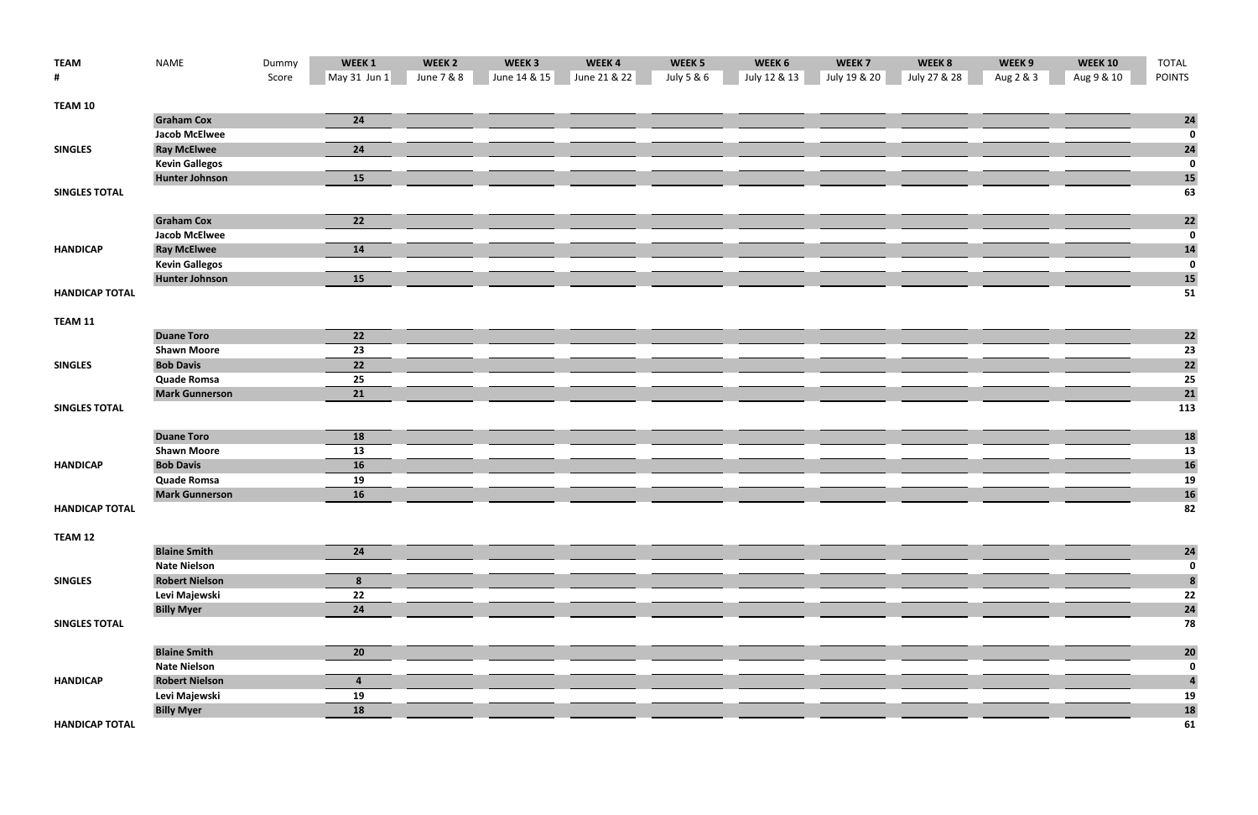| <b>TEAM</b>           | <b>NAME</b>           | Dummy | WEEK <sub>1</sub> | WEEK <sub>2</sub> | WEEK <sub>3</sub> | WEEK4        | WEEK <sub>5</sub> | WEEK 6       | WEEK <sub>7</sub> | WEEK 8       | WEEK 9    | <b>WEEK 10</b> | <b>TOTAL</b>    |
|-----------------------|-----------------------|-------|-------------------|-------------------|-------------------|--------------|-------------------|--------------|-------------------|--------------|-----------|----------------|-----------------|
| #                     |                       | Score | May 31 Jun 1      | June 7 & 8        | June 14 & 15      | June 21 & 22 | July 5 & 6        | July 12 & 13 | July 19 & 20      | July 27 & 28 | Aug 2 & 3 | Aug 9 & 10     | <b>POINTS</b>   |
| TEAM 10               |                       |       |                   |                   |                   |              |                   |              |                   |              |           |                |                 |
|                       | <b>Graham Cox</b>     |       | 24                |                   |                   |              |                   |              |                   |              |           |                | 24              |
|                       | <b>Jacob McElwee</b>  |       |                   |                   |                   |              |                   |              |                   |              |           |                | $\mathbf 0$     |
| <b>SINGLES</b>        | <b>Ray McElwee</b>    |       | 24                |                   |                   |              |                   |              |                   |              |           |                | 24              |
|                       | <b>Kevin Gallegos</b> |       |                   |                   |                   |              |                   |              |                   |              |           |                | $\pmb{0}$       |
|                       | <b>Hunter Johnson</b> |       | 15                |                   |                   |              |                   |              |                   |              |           |                | <b>15</b>       |
| <b>SINGLES TOTAL</b>  |                       |       |                   |                   |                   |              |                   |              |                   |              |           |                | 63              |
|                       | <b>Graham Cox</b>     |       | 22                |                   |                   |              |                   |              |                   |              |           |                | 22              |
|                       | <b>Jacob McElwee</b>  |       |                   |                   |                   |              |                   |              |                   |              |           |                | $\mathbf 0$     |
| <b>HANDICAP</b>       | <b>Ray McElwee</b>    |       | 14                |                   |                   |              |                   |              |                   |              |           |                | 14              |
|                       | <b>Kevin Gallegos</b> |       |                   |                   |                   |              |                   |              |                   |              |           |                | $\bf{0}$        |
|                       | <b>Hunter Johnson</b> |       | 15                |                   |                   |              |                   |              |                   |              |           |                | <b>15</b>       |
| <b>HANDICAP TOTAL</b> |                       |       |                   |                   |                   |              |                   |              |                   |              |           |                | 51              |
| TEAM 11               |                       |       |                   |                   |                   |              |                   |              |                   |              |           |                |                 |
|                       | <b>Duane Toro</b>     |       | 22                |                   |                   |              |                   |              |                   |              |           |                | $\mathbf{22}$   |
|                       | <b>Shawn Moore</b>    |       | 23                |                   |                   |              |                   |              |                   |              |           |                | $\overline{23}$ |
| <b>SINGLES</b>        | <b>Bob Davis</b>      |       | $\overline{22}$   |                   |                   |              |                   |              |                   |              |           |                | 22              |
|                       | <b>Quade Romsa</b>    |       | 25                |                   |                   |              |                   |              |                   |              |           |                | 25              |
|                       | <b>Mark Gunnerson</b> |       | 21                |                   |                   |              |                   |              |                   |              |           |                | 21              |
| <b>SINGLES TOTAL</b>  |                       |       |                   |                   |                   |              |                   |              |                   |              |           |                | 113             |
|                       | <b>Duane Toro</b>     |       | 18                |                   |                   |              |                   |              |                   |              |           |                | <b>18</b>       |
|                       | <b>Shawn Moore</b>    |       | 13                |                   |                   |              |                   |              |                   |              |           |                | 13              |
| <b>HANDICAP</b>       | <b>Bob Davis</b>      |       | 16                |                   |                   |              |                   |              |                   |              |           |                | <b>16</b>       |
|                       | <b>Quade Romsa</b>    |       | 19                |                   |                   |              |                   |              |                   |              |           |                | 19              |
|                       | <b>Mark Gunnerson</b> |       | 16                |                   |                   |              |                   |              |                   |              |           |                | <b>16</b>       |
| <b>HANDICAP TOTAL</b> |                       |       |                   |                   |                   |              |                   |              |                   |              |           |                | 82              |
| TEAM 12               |                       |       |                   |                   |                   |              |                   |              |                   |              |           |                |                 |
|                       | <b>Blaine Smith</b>   |       | 24                |                   |                   |              |                   |              |                   |              |           |                | 24              |
|                       | <b>Nate Nielson</b>   |       |                   |                   |                   |              |                   |              |                   |              |           |                | $\bf{0}$        |
| <b>SINGLES</b>        | <b>Robert Nielson</b> |       | 8                 |                   |                   |              |                   |              |                   |              |           |                | $\pmb{8}$       |
|                       | Levi Majewski         |       | 22                |                   |                   |              |                   |              |                   |              |           |                | 22              |
|                       | <b>Billy Myer</b>     |       | 24                |                   |                   |              |                   |              |                   |              |           |                | 24              |
| <b>SINGLES TOTAL</b>  |                       |       |                   |                   |                   |              |                   |              |                   |              |           |                | 78              |
|                       | <b>Blaine Smith</b>   |       | 20                |                   |                   |              |                   |              |                   |              |           |                | 20              |
|                       | <b>Nate Nielson</b>   |       |                   |                   |                   |              |                   |              |                   |              |           |                | $\pmb{0}$       |
| <b>HANDICAP</b>       | <b>Robert Nielson</b> |       | 4                 |                   |                   |              |                   |              |                   |              |           |                | 4               |
|                       | Levi Majewski         |       | 19                |                   |                   |              |                   |              |                   |              |           |                | 19              |
|                       | <b>Billy Myer</b>     |       | 18                |                   |                   |              |                   |              |                   |              |           |                | 18              |
| <b>HANDICAP TOTAL</b> |                       |       |                   |                   |                   |              |                   |              |                   |              |           |                | 61              |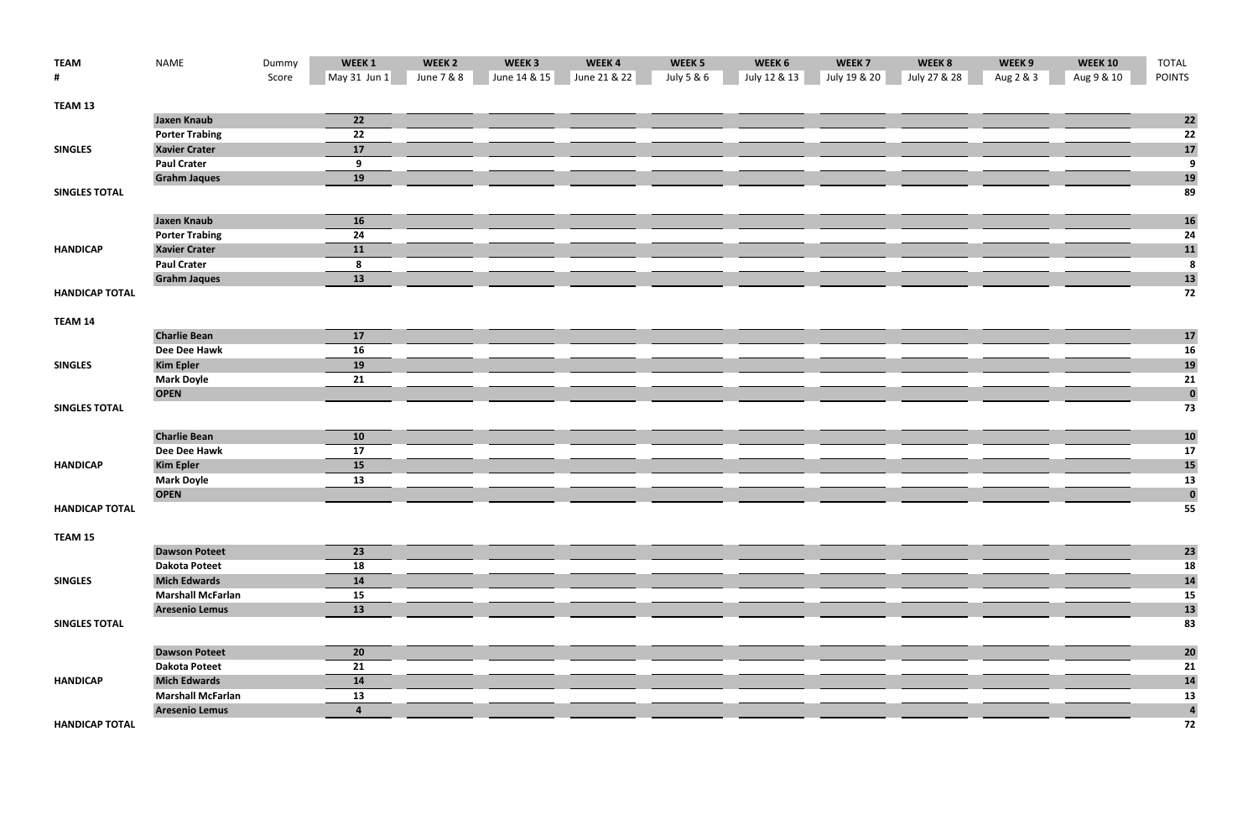| <b>TEAM</b>           | <b>NAME</b>              | Dummy | WEEK 1       | WEEK <sub>2</sub> | WEEK <sub>3</sub> | WEEK4        | WEEK <sub>5</sub> | WEEK 6       | WEEK <sub>7</sub> | WEEK 8       | WEEK 9    | <b>WEEK 10</b> | <b>TOTAL</b>            |
|-----------------------|--------------------------|-------|--------------|-------------------|-------------------|--------------|-------------------|--------------|-------------------|--------------|-----------|----------------|-------------------------|
| #                     |                          | Score | May 31 Jun 1 | June 7 & 8        | June 14 & 15      | June 21 & 22 | July 5 & 6        | July 12 & 13 | July 19 & 20      | July 27 & 28 | Aug 2 & 3 | Aug 9 & 10     | <b>POINTS</b>           |
| TEAM 13               |                          |       |              |                   |                   |              |                   |              |                   |              |           |                |                         |
|                       | <b>Jaxen Knaub</b>       |       | 22           |                   |                   |              |                   |              |                   |              |           |                | $\mathbf{22}$           |
|                       | <b>Porter Trabing</b>    |       | 22           |                   |                   |              |                   |              |                   |              |           |                | 22                      |
| <b>SINGLES</b>        | <b>Xavier Crater</b>     |       | 17           |                   |                   |              |                   |              |                   |              |           |                | 17                      |
|                       | <b>Paul Crater</b>       |       | 9            |                   |                   |              |                   |              |                   |              |           |                | $\overline{9}$          |
|                       | <b>Grahm Jaques</b>      |       | 19           |                   |                   |              |                   |              |                   |              |           |                | <b>19</b>               |
| <b>SINGLES TOTAL</b>  |                          |       |              |                   |                   |              |                   |              |                   |              |           |                | 89                      |
|                       | <b>Jaxen Knaub</b>       |       | 16           |                   |                   |              |                   |              |                   |              |           |                | <b>16</b>               |
|                       | <b>Porter Trabing</b>    |       | 24           |                   |                   |              |                   |              |                   |              |           |                | 24                      |
| <b>HANDICAP</b>       | <b>Xavier Crater</b>     |       | 11           |                   |                   |              |                   |              |                   |              |           |                | 11                      |
|                       | <b>Paul Crater</b>       |       | 8            |                   |                   |              |                   |              |                   |              |           |                | $\overline{\mathbf{8}}$ |
|                       | <b>Grahm Jaques</b>      |       | 13           |                   |                   |              |                   |              |                   |              |           |                | 13                      |
| <b>HANDICAP TOTAL</b> |                          |       |              |                   |                   |              |                   |              |                   |              |           |                | 72                      |
| TEAM 14               |                          |       |              |                   |                   |              |                   |              |                   |              |           |                |                         |
|                       | <b>Charlie Bean</b>      |       | 17           |                   |                   |              |                   |              |                   |              |           |                | 17                      |
|                       | Dee Dee Hawk             |       | 16           |                   |                   |              |                   |              |                   |              |           |                | <b>16</b>               |
| <b>SINGLES</b>        | <b>Kim Epler</b>         |       | 19           |                   |                   |              |                   |              |                   |              |           |                | 19                      |
|                       | <b>Mark Doyle</b>        |       | 21           |                   |                   |              |                   |              |                   |              |           |                | 21                      |
|                       | <b>OPEN</b>              |       |              |                   |                   |              |                   |              |                   |              |           |                | $\mathbf 0$             |
| <b>SINGLES TOTAL</b>  |                          |       |              |                   |                   |              |                   |              |                   |              |           |                | 73                      |
|                       | <b>Charlie Bean</b>      |       | 10           |                   |                   |              |                   |              |                   |              |           |                | <b>10</b>               |
|                       | Dee Dee Hawk             |       | 17           |                   |                   |              |                   |              |                   |              |           |                | 17                      |
| <b>HANDICAP</b>       | <b>Kim Epler</b>         |       | 15           |                   |                   |              |                   |              |                   |              |           |                | <b>15</b>               |
|                       | <b>Mark Doyle</b>        |       | 13           |                   |                   |              |                   |              |                   |              |           |                | 13                      |
|                       | <b>OPEN</b>              |       |              |                   |                   |              |                   |              |                   |              |           |                | $\mathbf 0$             |
| <b>HANDICAP TOTAL</b> |                          |       |              |                   |                   |              |                   |              |                   |              |           |                | 55                      |
| TEAM 15               |                          |       |              |                   |                   |              |                   |              |                   |              |           |                |                         |
|                       | <b>Dawson Poteet</b>     |       | 23           |                   |                   |              |                   |              |                   |              |           |                | 23                      |
|                       | <b>Dakota Poteet</b>     |       | 18           |                   |                   |              |                   |              |                   |              |           |                | 18                      |
| <b>SINGLES</b>        | <b>Mich Edwards</b>      |       | 14           |                   |                   |              |                   |              |                   |              |           |                | 14                      |
|                       | <b>Marshall McFarlan</b> |       | 15           |                   |                   |              |                   |              |                   |              |           |                | 15                      |
|                       | <b>Aresenio Lemus</b>    |       | 13           |                   |                   |              |                   |              |                   |              |           |                | <b>13</b>               |
| <b>SINGLES TOTAL</b>  |                          |       |              |                   |                   |              |                   |              |                   |              |           |                | 83                      |
|                       | <b>Dawson Poteet</b>     |       | 20           |                   |                   |              |                   |              |                   |              |           |                | 20                      |
|                       | <b>Dakota Poteet</b>     |       | 21           |                   |                   |              |                   |              |                   |              |           |                | 21                      |
| <b>HANDICAP</b>       | <b>Mich Edwards</b>      |       | 14           |                   |                   |              |                   |              |                   |              |           |                | 14                      |
|                       | <b>Marshall McFarlan</b> |       | 13           |                   |                   |              |                   |              |                   |              |           |                | 13                      |
|                       | <b>Aresenio Lemus</b>    |       | 4            |                   |                   |              |                   |              |                   |              |           |                | $\overline{\mathbf{4}}$ |
| <b>HANDICAP TOTAL</b> |                          |       |              |                   |                   |              |                   |              |                   |              |           |                | 72                      |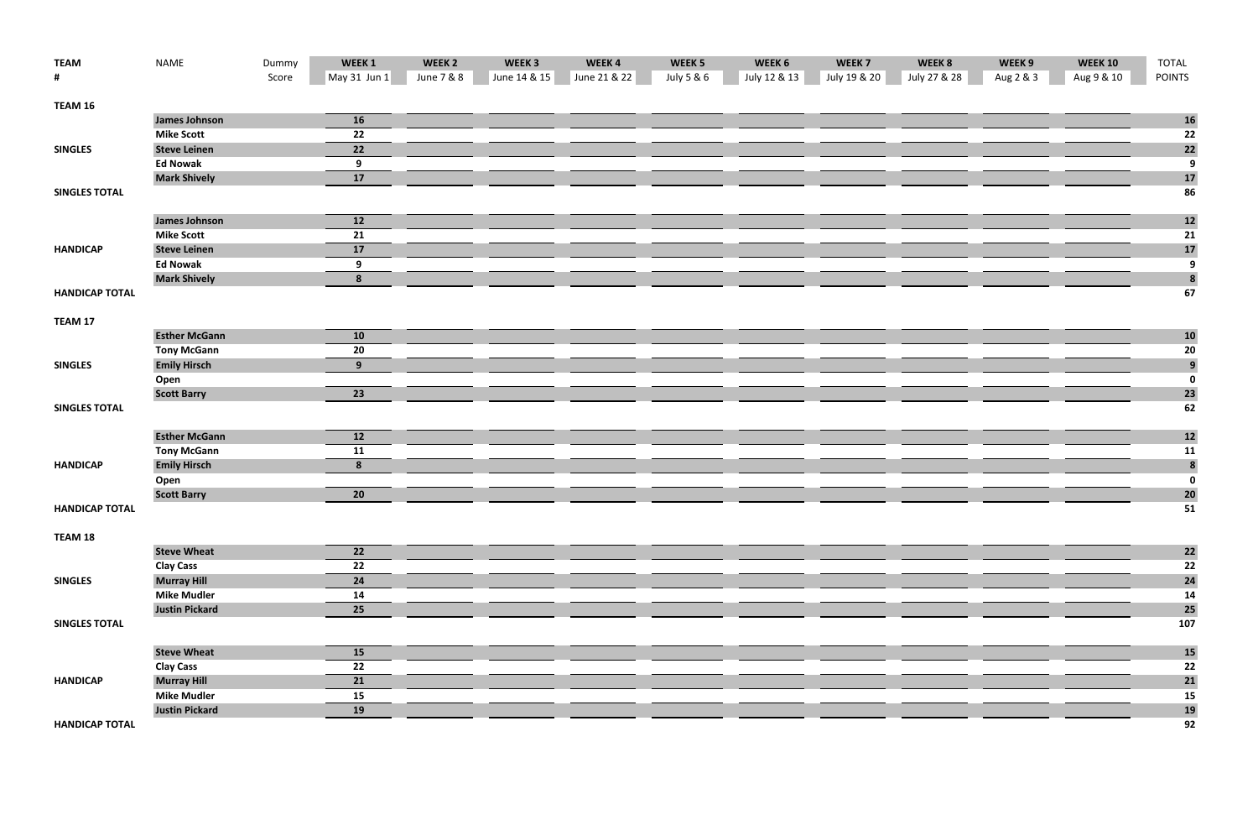| <b>TEAM</b>           | <b>NAME</b>           | Dummy | WEEK 1       | WEEK <sub>2</sub> | WEEK <sub>3</sub> | WEEK4        | WEEK <sub>5</sub> | WEEK 6       | WEEK <sub>7</sub> | WEEK 8       | WEEK 9    | <b>WEEK 10</b> | TOTAL                                  |
|-----------------------|-----------------------|-------|--------------|-------------------|-------------------|--------------|-------------------|--------------|-------------------|--------------|-----------|----------------|----------------------------------------|
| #                     |                       | Score | May 31 Jun 1 | June 7 & 8        | June 14 & 15      | June 21 & 22 | July 5 & 6        | July 12 & 13 | July 19 & 20      | July 27 & 28 | Aug 2 & 3 | Aug 9 & 10     | <b>POINTS</b>                          |
| TEAM 16               |                       |       |              |                   |                   |              |                   |              |                   |              |           |                |                                        |
|                       | <b>James Johnson</b>  |       | 16           |                   |                   |              |                   |              |                   |              |           |                | <b>16</b>                              |
|                       | <b>Mike Scott</b>     |       | 22           |                   |                   |              |                   |              |                   |              |           |                | 22                                     |
| <b>SINGLES</b>        | <b>Steve Leinen</b>   |       | 22           |                   |                   |              |                   |              |                   |              |           |                | 22                                     |
|                       | <b>Ed Nowak</b>       |       | 9            |                   |                   |              |                   |              |                   |              |           |                | $\overline{9}$                         |
|                       | <b>Mark Shively</b>   |       | 17           |                   |                   |              |                   |              |                   |              |           |                | 17                                     |
| <b>SINGLES TOTAL</b>  |                       |       |              |                   |                   |              |                   |              |                   |              |           |                | 86                                     |
|                       | <b>James Johnson</b>  |       | 12           |                   |                   |              |                   |              |                   |              |           |                | $12$                                   |
|                       | <b>Mike Scott</b>     |       | 21           |                   |                   |              |                   |              |                   |              |           |                | 21                                     |
| <b>HANDICAP</b>       | <b>Steve Leinen</b>   |       | 17           |                   |                   |              |                   |              |                   |              |           |                | <b>17</b>                              |
|                       | <b>Ed Nowak</b>       |       | 9            |                   |                   |              |                   |              |                   |              |           |                | 9                                      |
|                       | <b>Mark Shively</b>   |       | 8            |                   |                   |              |                   |              |                   |              |           |                | 8                                      |
| <b>HANDICAP TOTAL</b> |                       |       |              |                   |                   |              |                   |              |                   |              |           |                | 67                                     |
| TEAM 17               |                       |       |              |                   |                   |              |                   |              |                   |              |           |                |                                        |
|                       | <b>Esther McGann</b>  |       | 10           |                   |                   |              |                   |              |                   |              |           |                | <b>10</b>                              |
|                       | <b>Tony McGann</b>    |       | 20           |                   |                   |              |                   |              |                   |              |           |                |                                        |
| <b>SINGLES</b>        | <b>Emily Hirsch</b>   |       | 9            |                   |                   |              |                   |              |                   |              |           |                | $\begin{array}{c} 20 \\ 9 \end{array}$ |
|                       | Open                  |       |              |                   |                   |              |                   |              |                   |              |           |                | $\overline{\mathbf{0}}$                |
|                       | <b>Scott Barry</b>    |       | 23           |                   |                   |              |                   |              |                   |              |           |                | 23                                     |
| <b>SINGLES TOTAL</b>  |                       |       |              |                   |                   |              |                   |              |                   |              |           |                | 62                                     |
|                       | <b>Esther McGann</b>  |       | 12           |                   |                   |              |                   |              |                   |              |           |                | $12$                                   |
|                       | <b>Tony McGann</b>    |       | 11           |                   |                   |              |                   |              |                   |              |           |                | 11                                     |
| <b>HANDICAP</b>       | <b>Emily Hirsch</b>   |       | 8            |                   |                   |              |                   |              |                   |              |           |                | 8                                      |
|                       | Open                  |       |              |                   |                   |              |                   |              |                   |              |           |                | $\boldsymbol{0}$                       |
|                       | <b>Scott Barry</b>    |       | 20           |                   |                   |              |                   |              |                   |              |           |                | 20                                     |
| <b>HANDICAP TOTAL</b> |                       |       |              |                   |                   |              |                   |              |                   |              |           |                | 51                                     |
| TEAM 18               |                       |       |              |                   |                   |              |                   |              |                   |              |           |                |                                        |
|                       | <b>Steve Wheat</b>    |       | 22           |                   |                   |              |                   |              |                   |              |           |                | 22                                     |
|                       | <b>Clay Cass</b>      |       | 22           |                   |                   |              |                   |              |                   |              |           |                | 22                                     |
| <b>SINGLES</b>        | <b>Murray Hill</b>    |       | 24           |                   |                   |              |                   |              |                   |              |           |                | 24                                     |
|                       | <b>Mike Mudler</b>    |       | 14           |                   |                   |              |                   |              |                   |              |           |                | 14                                     |
|                       | <b>Justin Pickard</b> |       | 25           |                   |                   |              |                   |              |                   |              |           |                | 25                                     |
| <b>SINGLES TOTAL</b>  |                       |       |              |                   |                   |              |                   |              |                   |              |           |                | 107                                    |
|                       | <b>Steve Wheat</b>    |       | 15           |                   |                   |              |                   |              |                   |              |           |                | <b>15</b>                              |
|                       | <b>Clay Cass</b>      |       | 22           |                   |                   |              |                   |              |                   |              |           |                | 22                                     |
| <b>HANDICAP</b>       | <b>Murray Hill</b>    |       | 21           |                   |                   |              |                   |              |                   |              |           |                | 21                                     |
|                       | <b>Mike Mudler</b>    |       | 15           |                   |                   |              |                   |              |                   |              |           |                | 15                                     |
|                       | <b>Justin Pickard</b> |       | 19           |                   |                   |              |                   |              |                   |              |           |                | <b>19</b>                              |
| <b>HANDICAP TOTAL</b> |                       |       |              |                   |                   |              |                   |              |                   |              |           |                | 92                                     |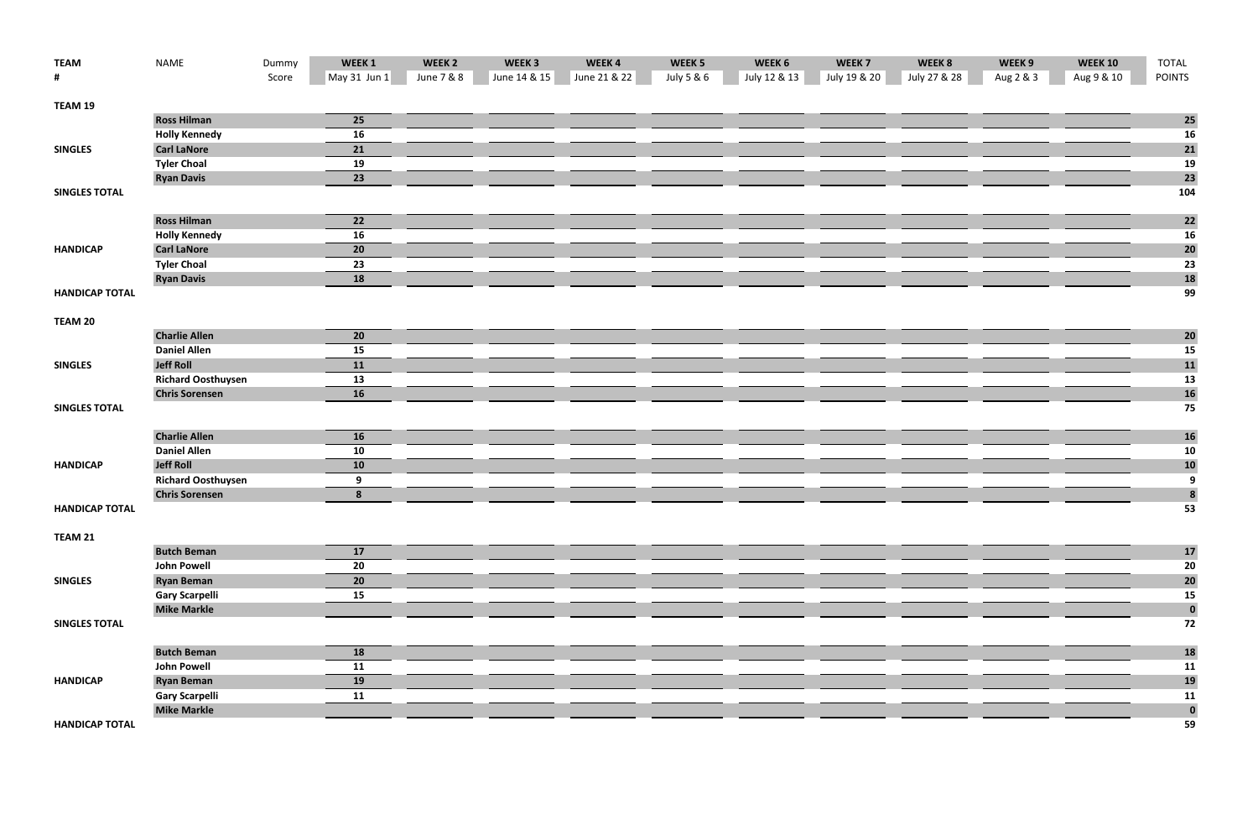| <b>TEAM</b>           | <b>NAME</b>               | Dummy | WEEK 1                                  | WEEK <sub>2</sub> | WEEK <sub>3</sub> | WEEK4        | WEEK <sub>5</sub> | WEEK 6       | WEEK <sub>7</sub> | WEEK 8       | WEEK 9    | <b>WEEK 10</b> | TOTAL            |
|-----------------------|---------------------------|-------|-----------------------------------------|-------------------|-------------------|--------------|-------------------|--------------|-------------------|--------------|-----------|----------------|------------------|
| #                     |                           | Score | $\sqrt{\mathsf{May}} 31 \mathsf{Jun} 1$ | June 7 & 8        | June 14 & 15      | June 21 & 22 | July 5 & 6        | July 12 & 13 | July 19 & 20      | July 27 & 28 | Aug 2 & 3 | Aug 9 & 10     | <b>POINTS</b>    |
| TEAM 19               |                           |       |                                         |                   |                   |              |                   |              |                   |              |           |                |                  |
|                       | <b>Ross Hilman</b>        |       | 25                                      |                   |                   |              |                   |              |                   |              |           |                | 25               |
|                       | <b>Holly Kennedy</b>      |       | 16                                      |                   |                   |              |                   |              |                   |              |           |                | <b>16</b>        |
| <b>SINGLES</b>        | <b>Carl LaNore</b>        |       | 21                                      |                   |                   |              |                   |              |                   |              |           |                | 21               |
|                       | <b>Tyler Choal</b>        |       | 19                                      |                   |                   |              |                   |              |                   |              |           |                | 19               |
|                       | <b>Ryan Davis</b>         |       | 23                                      |                   |                   |              |                   |              |                   |              |           |                | 23               |
| <b>SINGLES TOTAL</b>  |                           |       |                                         |                   |                   |              |                   |              |                   |              |           |                | 104              |
|                       | <b>Ross Hilman</b>        |       | 22                                      |                   |                   |              |                   |              |                   |              |           |                | $\mathbf{22}$    |
|                       | <b>Holly Kennedy</b>      |       | 16                                      |                   |                   |              |                   |              |                   |              |           |                | <b>16</b>        |
| <b>HANDICAP</b>       | <b>Carl LaNore</b>        |       | 20                                      |                   |                   |              |                   |              |                   |              |           |                | 20               |
|                       | <b>Tyler Choal</b>        |       | 23                                      |                   |                   |              |                   |              |                   |              |           |                | 23               |
|                       | <b>Ryan Davis</b>         |       | 18                                      |                   |                   |              |                   |              |                   |              |           |                | 18               |
| <b>HANDICAP TOTAL</b> |                           |       |                                         |                   |                   |              |                   |              |                   |              |           |                | 99               |
| TEAM 20               |                           |       |                                         |                   |                   |              |                   |              |                   |              |           |                |                  |
|                       | <b>Charlie Allen</b>      |       | 20                                      |                   |                   |              |                   |              |                   |              |           |                | 20               |
|                       | <b>Daniel Allen</b>       |       | 15                                      |                   |                   |              |                   |              |                   |              |           |                | 15               |
| <b>SINGLES</b>        | <b>Jeff Roll</b>          |       | 11                                      |                   |                   |              |                   |              |                   |              |           |                | 11               |
|                       | <b>Richard Oosthuysen</b> |       | 13                                      |                   |                   |              |                   |              |                   |              |           |                | 13               |
|                       | <b>Chris Sorensen</b>     |       | 16                                      |                   |                   |              |                   |              |                   |              |           |                | <b>16</b>        |
| <b>SINGLES TOTAL</b>  |                           |       |                                         |                   |                   |              |                   |              |                   |              |           |                | 75               |
|                       | <b>Charlie Allen</b>      |       | 16                                      |                   |                   |              |                   |              |                   |              |           |                | <b>16</b>        |
|                       | <b>Daniel Allen</b>       |       | 10                                      |                   |                   |              |                   |              |                   |              |           |                | 10               |
| <b>HANDICAP</b>       | <b>Jeff Roll</b>          |       | 10                                      |                   |                   |              |                   |              |                   |              |           |                | <b>10</b>        |
|                       | <b>Richard Oosthuysen</b> |       | 9                                       |                   |                   |              |                   |              |                   |              |           |                | 9                |
|                       | <b>Chris Sorensen</b>     |       | 8                                       |                   |                   |              |                   |              |                   |              |           |                | $\boldsymbol{8}$ |
| <b>HANDICAP TOTAL</b> |                           |       |                                         |                   |                   |              |                   |              |                   |              |           |                | 53               |
| TEAM 21               |                           |       |                                         |                   |                   |              |                   |              |                   |              |           |                |                  |
|                       | <b>Butch Beman</b>        |       | 17                                      |                   |                   |              |                   |              |                   |              |           |                | 17               |
|                       | <b>John Powell</b>        |       | 20                                      |                   |                   |              |                   |              |                   |              |           |                | 20               |
| <b>SINGLES</b>        | <b>Ryan Beman</b>         |       | 20                                      |                   |                   |              |                   |              |                   |              |           |                | 20               |
|                       | <b>Gary Scarpelli</b>     |       | 15                                      |                   |                   |              |                   |              |                   |              |           |                | 15               |
|                       | <b>Mike Markle</b>        |       |                                         |                   |                   |              |                   |              |                   |              |           |                | $\bf{0}$         |
| <b>SINGLES TOTAL</b>  |                           |       |                                         |                   |                   |              |                   |              |                   |              |           |                | 72               |
|                       | <b>Butch Beman</b>        |       | <b>18</b>                               |                   |                   |              |                   |              |                   |              |           |                | <b>18</b>        |
|                       | <b>John Powell</b>        |       | 11                                      |                   |                   |              |                   |              |                   |              |           |                | 11               |
| <b>HANDICAP</b>       | <b>Ryan Beman</b>         |       | 19                                      |                   |                   |              |                   |              |                   |              |           |                | <b>19</b>        |
|                       | <b>Gary Scarpelli</b>     |       | 11                                      |                   |                   |              |                   |              |                   |              |           |                | 11               |
|                       | <b>Mike Markle</b>        |       |                                         |                   |                   |              |                   |              |                   |              |           |                | $\bf{0}$         |
| <b>HANDICAP TOTAL</b> |                           |       |                                         |                   |                   |              |                   |              |                   |              |           |                | 59               |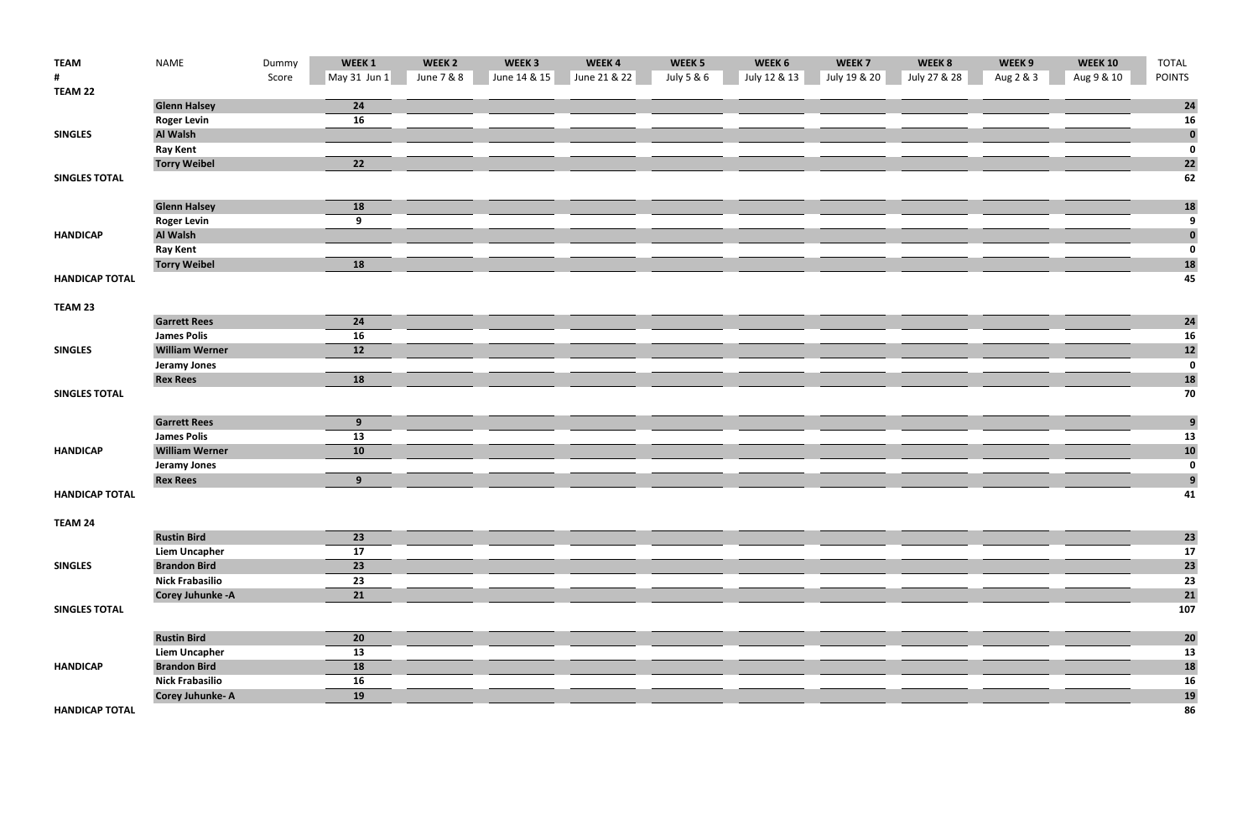| <b>TEAM</b>           | <b>NAME</b>              | Dummy | WEEK1           | WEEK <sub>2</sub> | WEEK <sub>3</sub> | WEEK4        | WEEK <sub>5</sub> | WEEK 6       | WEEK <sub>7</sub> | WEEK 8       | WEEK 9    | <b>WEEK 10</b> | <b>TOTAL</b>            |
|-----------------------|--------------------------|-------|-----------------|-------------------|-------------------|--------------|-------------------|--------------|-------------------|--------------|-----------|----------------|-------------------------|
| #                     |                          | Score | $May31$ Jun 1   | June 7 & 8        | June 14 & 15      | June 21 & 22 | July 5 & 6        | July 12 & 13 | July 19 & 20      | July 27 & 28 | Aug 2 & 3 | Aug 9 & 10     | <b>POINTS</b>           |
| TEAM 22               |                          |       |                 |                   |                   |              |                   |              |                   |              |           |                |                         |
|                       | <b>Glenn Halsey</b>      |       | 24              |                   |                   |              |                   |              |                   |              |           |                | 24                      |
|                       | <b>Roger Levin</b>       |       | 16              |                   |                   |              |                   |              |                   |              |           |                | 16                      |
| <b>SINGLES</b>        | Al Walsh                 |       |                 |                   |                   |              |                   |              |                   |              |           |                | $\bf{0}$                |
|                       | <b>Ray Kent</b>          |       |                 |                   |                   |              |                   |              |                   |              |           |                | $\overline{\mathbf{0}}$ |
|                       | <b>Torry Weibel</b>      |       | $\overline{22}$ |                   |                   |              |                   |              |                   |              |           |                | 22                      |
| <b>SINGLES TOTAL</b>  |                          |       |                 |                   |                   |              |                   |              |                   |              |           |                | 62                      |
|                       |                          |       |                 |                   |                   |              |                   |              |                   |              |           |                |                         |
|                       | <b>Glenn Halsey</b>      |       | 18              |                   |                   |              |                   |              |                   |              |           |                | <b>18</b>               |
|                       | <b>Roger Levin</b>       |       | 9               |                   |                   |              |                   |              |                   |              |           |                | $\overline{9}$          |
| <b>HANDICAP</b>       | Al Walsh                 |       |                 |                   |                   |              |                   |              |                   |              |           |                | $\boldsymbol{0}$        |
|                       | <b>Ray Kent</b>          |       |                 |                   |                   |              |                   |              |                   |              |           |                | $\pmb{0}$               |
|                       | <b>Torry Weibel</b>      |       | 18              |                   |                   |              |                   |              |                   |              |           |                | <b>18</b>               |
| <b>HANDICAP TOTAL</b> |                          |       |                 |                   |                   |              |                   |              |                   |              |           |                | 45                      |
| TEAM 23               |                          |       |                 |                   |                   |              |                   |              |                   |              |           |                |                         |
|                       | <b>Garrett Rees</b>      |       | 24              |                   |                   |              |                   |              |                   |              |           |                | 24                      |
|                       | <b>James Polis</b>       |       | 16              |                   |                   |              |                   |              |                   |              |           |                | 16                      |
| <b>SINGLES</b>        | <b>William Werner</b>    |       | 12              |                   |                   |              |                   |              |                   |              |           |                | $12$                    |
|                       | <b>Jeramy Jones</b>      |       |                 |                   |                   |              |                   |              |                   |              |           |                | $\pmb{0}$               |
|                       | <b>Rex Rees</b>          |       | 18              |                   |                   |              |                   |              |                   |              |           |                | <b>18</b>               |
| <b>SINGLES TOTAL</b>  |                          |       |                 |                   |                   |              |                   |              |                   |              |           |                | 70                      |
|                       |                          |       |                 |                   |                   |              |                   |              |                   |              |           |                |                         |
|                       | <b>Garrett Rees</b>      |       | 9 <sub>o</sub>  |                   |                   |              |                   |              |                   |              |           |                | $\overline{9}$          |
|                       | <b>James Polis</b>       |       | 13              |                   |                   |              |                   |              |                   |              |           |                | 13                      |
| <b>HANDICAP</b>       | <b>William Werner</b>    |       | 10              |                   |                   |              |                   |              |                   |              |           |                | <b>10</b>               |
|                       | <b>Jeramy Jones</b>      |       |                 |                   |                   |              |                   |              |                   |              |           |                | $\bf{0}$                |
|                       | <b>Rex Rees</b>          |       | 9 <sup>°</sup>  |                   |                   |              |                   |              |                   |              |           |                | $\overline{9}$          |
| <b>HANDICAP TOTAL</b> |                          |       |                 |                   |                   |              |                   |              |                   |              |           |                | 41                      |
|                       |                          |       |                 |                   |                   |              |                   |              |                   |              |           |                |                         |
| TEAM 24               |                          |       |                 |                   |                   |              |                   |              |                   |              |           |                |                         |
|                       | <b>Rustin Bird</b>       |       | 23              |                   |                   |              |                   |              |                   |              |           |                | 23                      |
|                       | <b>Liem Uncapher</b>     |       | 17              |                   |                   |              |                   |              |                   |              |           |                | 17                      |
| <b>SINGLES</b>        | <b>Brandon Bird</b>      |       | 23              |                   |                   |              |                   |              |                   |              |           |                | 23                      |
|                       | <b>Nick Frabasilio</b>   |       | 23              |                   |                   |              |                   |              |                   |              |           |                | 23                      |
|                       | <b>Corey Juhunke - A</b> |       | 21              |                   |                   |              |                   |              |                   |              |           |                | 21                      |
| <b>SINGLES TOTAL</b>  |                          |       |                 |                   |                   |              |                   |              |                   |              |           |                | 107                     |
|                       |                          |       |                 |                   |                   |              |                   |              |                   |              |           |                |                         |
|                       | <b>Rustin Bird</b>       |       | 20              |                   |                   |              |                   |              |                   |              |           |                | 20                      |
|                       | <b>Liem Uncapher</b>     |       | 13              |                   |                   |              |                   |              |                   |              |           |                | 13                      |
| <b>HANDICAP</b>       | <b>Brandon Bird</b>      |       | 18              |                   |                   |              |                   |              |                   |              |           |                | 18                      |
|                       | <b>Nick Frabasilio</b>   |       | 16              |                   |                   |              |                   |              |                   |              |           |                | 16                      |
|                       | <b>Corey Juhunke-A</b>   |       | 19              |                   |                   |              |                   |              |                   |              |           |                | <b>19</b>               |
| <b>HANDICAP TOTAL</b> |                          |       |                 |                   |                   |              |                   |              |                   |              |           |                | 86                      |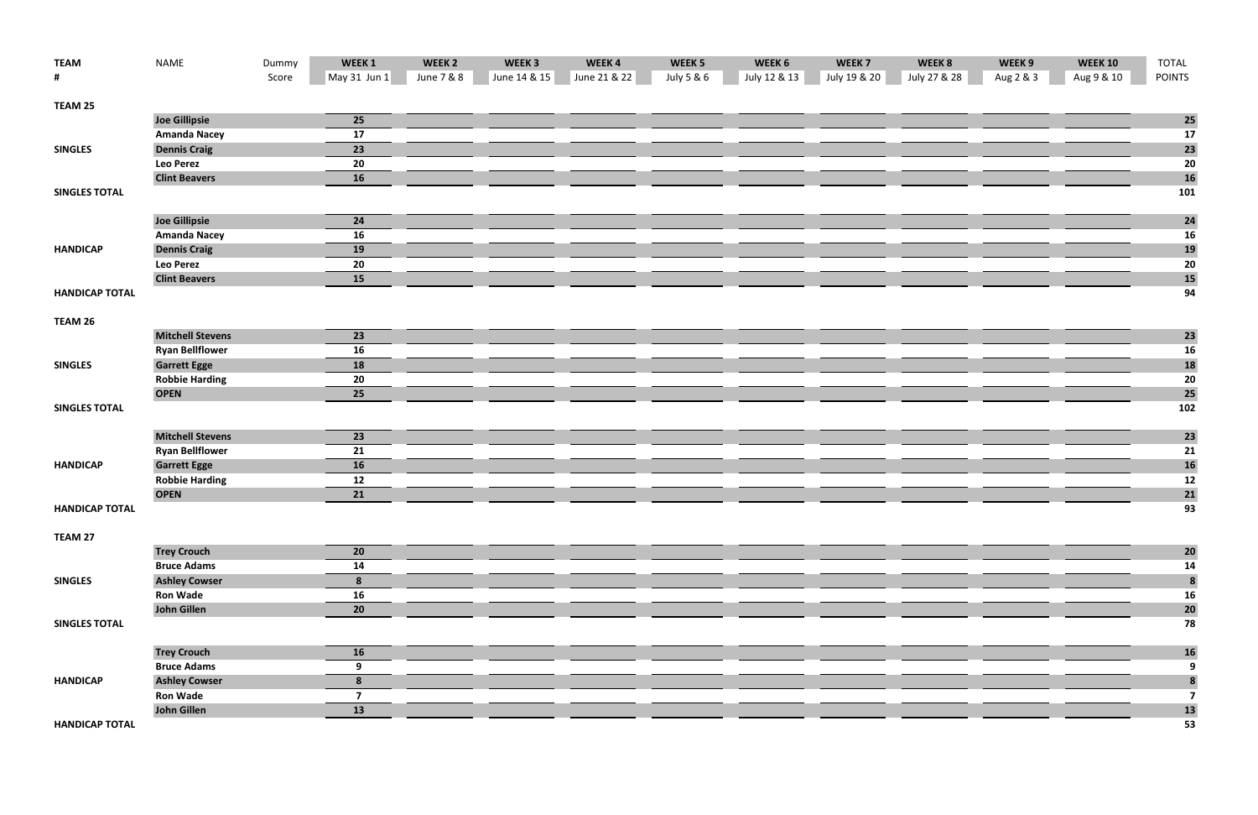| <b>TEAM</b>           | <b>NAME</b>             | Dummy | WEEK 1       | WEEK <sub>2</sub> | WEEK <sub>3</sub> | WEEK4        | WEEK <sub>5</sub> | WEEK 6       | WEEK <sub>7</sub> | WEEK 8       | WEEK 9    | <b>WEEK 10</b> | <b>TOTAL</b>            |
|-----------------------|-------------------------|-------|--------------|-------------------|-------------------|--------------|-------------------|--------------|-------------------|--------------|-----------|----------------|-------------------------|
| #                     |                         | Score | May 31 Jun 1 | June 7 & 8        | June 14 & 15      | June 21 & 22 | July 5 & 6        | July 12 & 13 | July 19 & 20      | July 27 & 28 | Aug 2 & 3 | Aug 9 & 10     | <b>POINTS</b>           |
| TEAM 25               |                         |       |              |                   |                   |              |                   |              |                   |              |           |                |                         |
|                       | <b>Joe Gillipsie</b>    |       | 25           |                   |                   |              |                   |              |                   |              |           |                | 25                      |
|                       | <b>Amanda Nacey</b>     |       | 17           |                   |                   |              |                   |              |                   |              |           |                | 17                      |
| <b>SINGLES</b>        | <b>Dennis Craig</b>     |       | 23           |                   |                   |              |                   |              |                   |              |           |                | 23                      |
|                       | <b>Leo Perez</b>        |       | 20           |                   |                   |              |                   |              |                   |              |           |                | 20                      |
|                       | <b>Clint Beavers</b>    |       | 16           |                   |                   |              |                   |              |                   |              |           |                | 16                      |
| <b>SINGLES TOTAL</b>  |                         |       |              |                   |                   |              |                   |              |                   |              |           |                | 101                     |
|                       | <b>Joe Gillipsie</b>    |       | 24           |                   |                   |              |                   |              |                   |              |           |                | 24                      |
|                       | <b>Amanda Nacey</b>     |       | 16           |                   |                   |              |                   |              |                   |              |           |                | 16                      |
| <b>HANDICAP</b>       | <b>Dennis Craig</b>     |       | 19           |                   |                   |              |                   |              |                   |              |           |                | <b>19</b>               |
|                       | <b>Leo Perez</b>        |       | 20           |                   |                   |              |                   |              |                   |              |           |                | 20                      |
|                       | <b>Clint Beavers</b>    |       | 15           |                   |                   |              |                   |              |                   |              |           |                | 15                      |
| <b>HANDICAP TOTAL</b> |                         |       |              |                   |                   |              |                   |              |                   |              |           |                | 94                      |
| TEAM 26               |                         |       |              |                   |                   |              |                   |              |                   |              |           |                |                         |
|                       | <b>Mitchell Stevens</b> |       | 23           |                   |                   |              |                   |              |                   |              |           |                | 23                      |
|                       | <b>Ryan Bellflower</b>  |       | 16           |                   |                   |              |                   |              |                   |              |           |                | <b>16</b>               |
| <b>SINGLES</b>        | <b>Garrett Egge</b>     |       | <b>18</b>    |                   |                   |              |                   |              |                   |              |           |                | 18                      |
|                       | <b>Robbie Harding</b>   |       | 20           |                   |                   |              |                   |              |                   |              |           |                | 20                      |
|                       | <b>OPEN</b>             |       | 25           |                   |                   |              |                   |              |                   |              |           |                | 25                      |
| <b>SINGLES TOTAL</b>  |                         |       |              |                   |                   |              |                   |              |                   |              |           |                | 102                     |
|                       | <b>Mitchell Stevens</b> |       | 23           |                   |                   |              |                   |              |                   |              |           |                | 23                      |
|                       | <b>Ryan Bellflower</b>  |       | 21           |                   |                   |              |                   |              |                   |              |           |                | 21                      |
| <b>HANDICAP</b>       | <b>Garrett Egge</b>     |       | 16           |                   |                   |              |                   |              |                   |              |           |                | <b>16</b>               |
|                       | <b>Robbie Harding</b>   |       | 12           |                   |                   |              |                   |              |                   |              |           |                | 12                      |
|                       | <b>OPEN</b>             |       | 21           |                   |                   |              |                   |              |                   |              |           |                | 21                      |
| <b>HANDICAP TOTAL</b> |                         |       |              |                   |                   |              |                   |              |                   |              |           |                | 93                      |
| TEAM 27               |                         |       |              |                   |                   |              |                   |              |                   |              |           |                |                         |
|                       | <b>Trey Crouch</b>      |       | 20           |                   |                   |              |                   |              |                   |              |           |                | 20                      |
|                       | <b>Bruce Adams</b>      |       | 14           |                   |                   |              |                   |              |                   |              |           |                | 14                      |
| <b>SINGLES</b>        | <b>Ashley Cowser</b>    |       | 8            |                   |                   |              |                   |              |                   |              |           |                | $\boldsymbol{8}$        |
|                       | <b>Ron Wade</b>         |       | 16           |                   |                   |              |                   |              |                   |              |           |                | 16                      |
|                       | <b>John Gillen</b>      |       | 20           |                   |                   |              |                   |              |                   |              |           |                | 20                      |
| <b>SINGLES TOTAL</b>  |                         |       |              |                   |                   |              |                   |              |                   |              |           |                | 78                      |
|                       | <b>Trey Crouch</b>      |       | <b>16</b>    |                   |                   |              |                   |              |                   |              |           |                | <b>16</b>               |
|                       | <b>Bruce Adams</b>      |       | 9            |                   |                   |              |                   |              |                   |              |           |                | 9                       |
| <b>HANDICAP</b>       | <b>Ashley Cowser</b>    |       | 8            |                   |                   |              |                   |              |                   |              |           |                | $\pmb{8}$               |
|                       | <b>Ron Wade</b>         |       | 7            |                   |                   |              |                   |              |                   |              |           |                | $\overline{\mathbf{z}}$ |
|                       | John Gillen             |       | 13           |                   |                   |              |                   |              |                   |              |           |                | 13                      |
| <b>HANDICAP TOTAL</b> |                         |       |              |                   |                   |              |                   |              |                   |              |           |                | 53                      |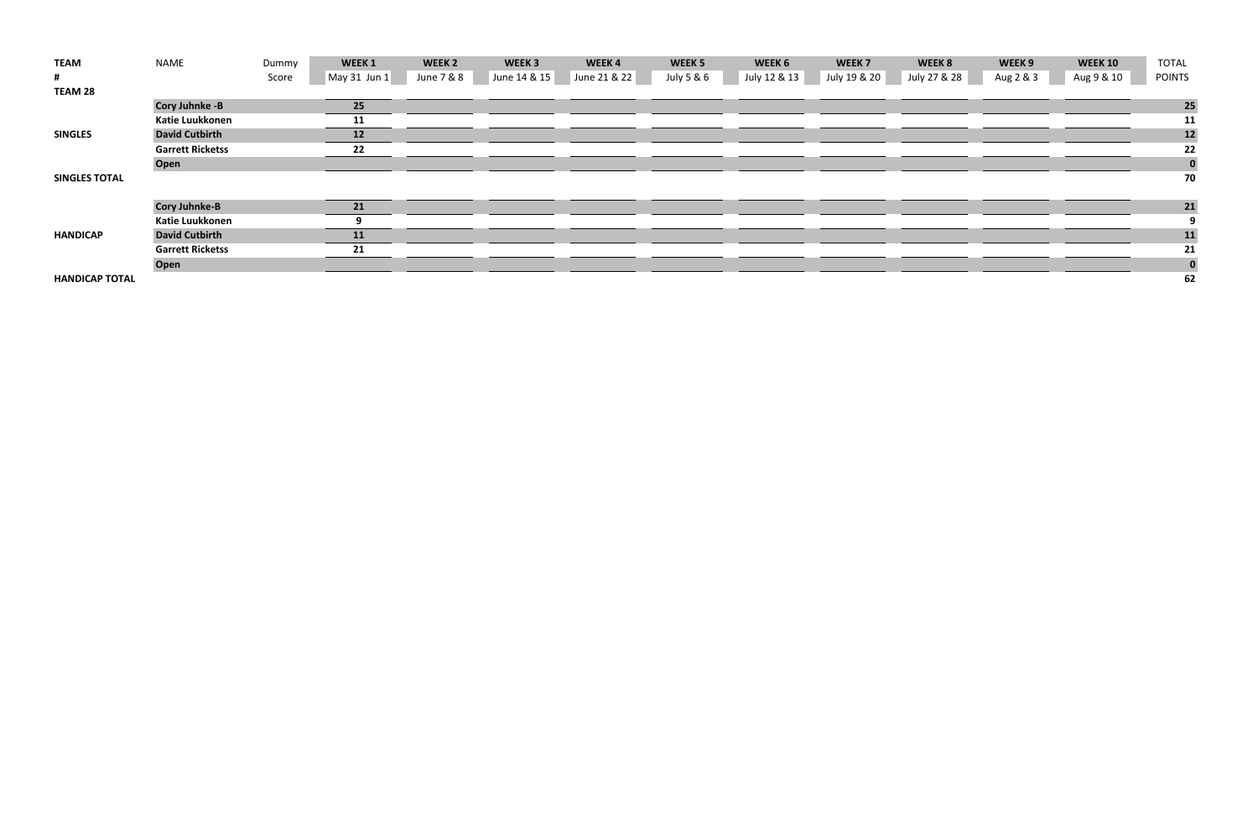| <b>TEAM</b>           | NAME                    | Dummy | WEEK 1       | WEEK <sub>2</sub> | WEEK <sub>3</sub> | WEEK4        | WEEK 5     | WEEK 6       | WEEK 7       | WEEK 8       | WEEK 9    | <b>WEEK 10</b> | <b>TOTAL</b>  |
|-----------------------|-------------------------|-------|--------------|-------------------|-------------------|--------------|------------|--------------|--------------|--------------|-----------|----------------|---------------|
| #                     |                         | Score | May 31 Jun 1 | June 7 & 8        | June 14 & 15      | June 21 & 22 | July 5 & 6 | July 12 & 13 | July 19 & 20 | July 27 & 28 | Aug 2 & 3 | Aug 9 & 10     | <b>POINTS</b> |
| TEAM 28               |                         |       |              |                   |                   |              |            |              |              |              |           |                |               |
|                       | <b>Cory Juhnke -B</b>   |       | 25           |                   |                   |              |            |              |              |              |           |                | 25            |
|                       | Katie Luukkonen         |       | 11           |                   |                   |              |            |              |              |              |           |                | 11            |
| <b>SINGLES</b>        | <b>David Cutbirth</b>   |       | 12           |                   |                   |              |            |              |              |              |           |                | $12$          |
|                       | <b>Garrett Ricketss</b> |       | 22           |                   |                   |              |            |              |              |              |           |                | 22            |
|                       | Open                    |       |              |                   |                   |              |            |              |              |              |           |                | $\bf{0}$      |
| <b>SINGLES TOTAL</b>  |                         |       |              |                   |                   |              |            |              |              |              |           |                | 70            |
|                       |                         |       |              |                   |                   |              |            |              |              |              |           |                |               |
|                       | <b>Cory Juhnke-B</b>    |       | 21           |                   |                   |              |            |              |              |              |           |                | 21            |
|                       | Katie Luukkonen         |       |              |                   |                   |              |            |              |              |              |           |                | 9             |
| <b>HANDICAP</b>       | <b>David Cutbirth</b>   |       | 11           |                   |                   |              |            |              |              |              |           |                | 11            |
|                       | <b>Garrett Ricketss</b> |       | 21           |                   |                   |              |            |              |              |              |           |                | 21            |
|                       | Open                    |       |              |                   |                   |              |            |              |              |              |           |                | $\bf{0}$      |
| <b>HANDICAP TOTAL</b> |                         |       |              |                   |                   |              |            |              |              |              |           |                | 62            |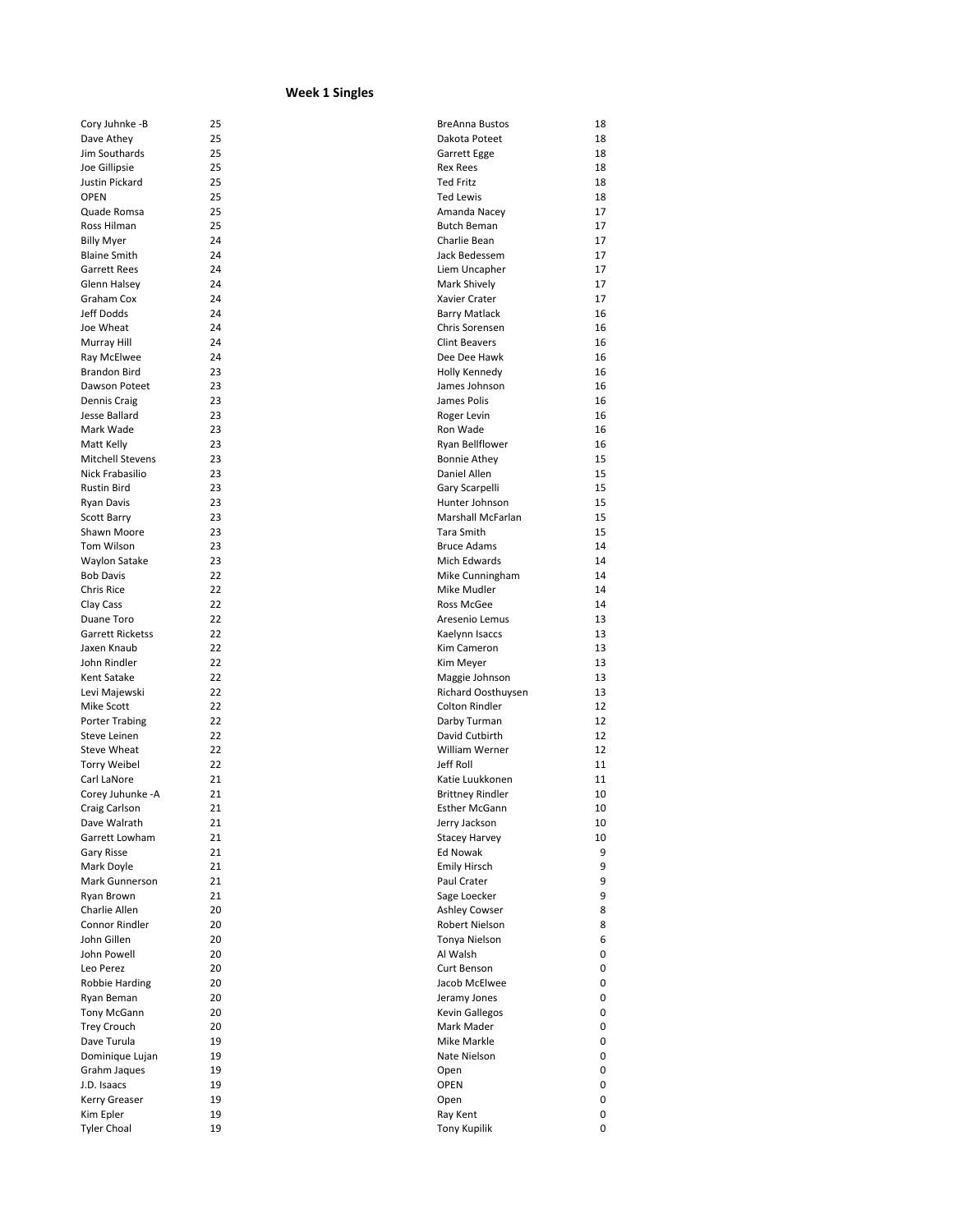## **Week 1 Singles**

| Cory Juhnke -B          | 25 | <b>BreAnna Bustos</b>   | 18 |
|-------------------------|----|-------------------------|----|
| Dave Athey              | 25 | Dakota Poteet           | 18 |
| Jim Southards           | 25 | Garrett Egge            | 18 |
| Joe Gillipsie           | 25 | <b>Rex Rees</b>         | 18 |
| Justin Pickard          | 25 | <b>Ted Fritz</b>        | 18 |
| <b>OPEN</b>             | 25 | <b>Ted Lewis</b>        | 18 |
| Quade Romsa             | 25 | Amanda Nacey            | 17 |
| Ross Hilman             | 25 | <b>Butch Beman</b>      | 17 |
| <b>Billy Myer</b>       | 24 | Charlie Bean            | 17 |
| <b>Blaine Smith</b>     | 24 | Jack Bedessem           | 17 |
| <b>Garrett Rees</b>     | 24 | Liem Uncapher           | 17 |
| Glenn Halsey            | 24 | Mark Shively            | 17 |
| Graham Cox              | 24 | Xavier Crater           | 17 |
| Jeff Dodds              | 24 | <b>Barry Matlack</b>    | 16 |
| Joe Wheat               | 24 | Chris Sorensen          | 16 |
| Murray Hill             | 24 | <b>Clint Beavers</b>    | 16 |
| Ray McElwee             | 24 | Dee Dee Hawk            | 16 |
| <b>Brandon Bird</b>     | 23 | Holly Kennedy           | 16 |
| Dawson Poteet           | 23 | James Johnson           | 16 |
| Dennis Craig            | 23 | James Polis             | 16 |
| Jesse Ballard           | 23 | Roger Levin             | 16 |
| Mark Wade               | 23 | Ron Wade                | 16 |
| Matt Kelly              | 23 | Ryan Bellflower         | 16 |
| <b>Mitchell Stevens</b> | 23 | <b>Bonnie Athey</b>     | 15 |
| Nick Frabasilio         | 23 | Daniel Allen            | 15 |
| <b>Rustin Bird</b>      | 23 | Gary Scarpelli          | 15 |
| Ryan Davis              | 23 | Hunter Johnson          | 15 |
| Scott Barry             | 23 | Marshall McFarlan       | 15 |
| Shawn Moore             | 23 | Tara Smith              | 15 |
| Tom Wilson              | 23 | <b>Bruce Adams</b>      | 14 |
| Waylon Satake           | 23 | Mich Edwards            | 14 |
| <b>Bob Davis</b>        | 22 | Mike Cunningham         | 14 |
| Chris Rice              | 22 | Mike Mudler             | 14 |
|                         | 22 | Ross McGee              | 14 |
| Clay Cass<br>Duane Toro | 22 | Aresenio Lemus          | 13 |
| <b>Garrett Ricketss</b> | 22 |                         | 13 |
|                         | 22 | Kaelynn Isaccs          |    |
| Jaxen Knaub             | 22 | Kim Cameron             | 13 |
| John Rindler            |    | Kim Meyer               | 13 |
| Kent Satake             | 22 | Maggie Johnson          | 13 |
| Levi Majewski           | 22 | Richard Oosthuysen      | 13 |
| Mike Scott              | 22 | <b>Colton Rindler</b>   | 12 |
| Porter Trabing          | 22 | Darby Turman            | 12 |
| Steve Leinen            | 22 | David Cutbirth          | 12 |
| Steve Wheat             | 22 | William Werner          | 12 |
| <b>Torry Weibel</b>     | 22 | Jeff Roll               | 11 |
| Carl LaNore             | 21 | Katie Luukkonen         | 11 |
| Corey Juhunke - A       | 21 | <b>Brittney Rindler</b> | 10 |
| Craig Carlson           | 21 | <b>Esther McGann</b>    | 10 |
| Dave Walrath            | 21 | Jerry Jackson           | 10 |
| Garrett Lowham          | 21 | <b>Stacey Harvey</b>    | 10 |
| Gary Risse              | 21 | Ed Nowak                | 9  |
| Mark Doyle              | 21 | <b>Emily Hirsch</b>     | 9  |
| Mark Gunnerson          | 21 | Paul Crater             | 9  |
| Ryan Brown              | 21 | Sage Loecker            | 9  |
| Charlie Allen           | 20 | <b>Ashley Cowser</b>    | 8  |
| Connor Rindler          | 20 | Robert Nielson          | 8  |
| John Gillen             | 20 | Tonya Nielson           | 6  |
| John Powell             | 20 | Al Walsh                | 0  |
| Leo Perez               | 20 | Curt Benson             | 0  |
| Robbie Harding          | 20 | Jacob McElwee           | 0  |
| Ryan Beman              | 20 | Jeramy Jones            | 0  |
| Tony McGann             | 20 | <b>Kevin Gallegos</b>   | 0  |
| <b>Trey Crouch</b>      | 20 | Mark Mader              | 0  |
| Dave Turula             | 19 | Mike Markle             | 0  |
| Dominique Lujan         | 19 | Nate Nielson            | 0  |
| Grahm Jaques            | 19 | Open                    | 0  |
| J.D. Isaacs             | 19 | <b>OPEN</b>             | 0  |
| Kerry Greaser           | 19 | Open                    | 0  |
| Kim Epler               | 19 | Ray Kent                | 0  |
| <b>Tyler Choal</b>      | 19 | <b>Tony Kupilik</b>     | 0  |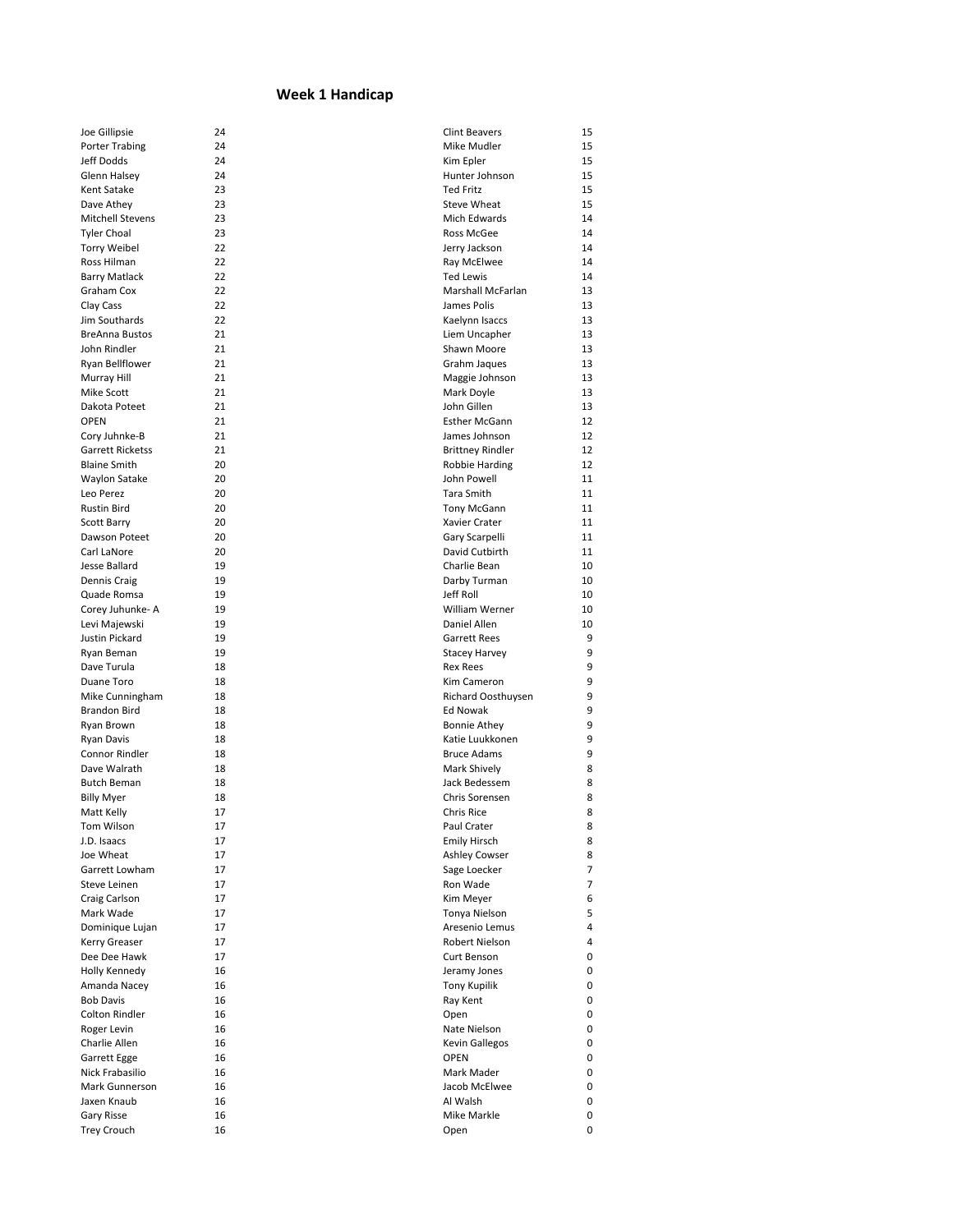## **Week 1 Handicap**

| Joe Gillipsie         | 24 | <b>Clint Beavers</b>     | 15 |
|-----------------------|----|--------------------------|----|
| <b>Porter Trabing</b> | 24 | Mike Mudler              | 15 |
| Jeff Dodds            | 24 | Kim Epler                | 15 |
| Glenn Halsey          | 24 | Hunter Johnson           | 15 |
| Kent Satake           | 23 | <b>Ted Fritz</b>         | 15 |
| Dave Athey            | 23 | <b>Steve Wheat</b>       | 15 |
| Mitchell Stevens      | 23 | Mich Edwards             | 14 |
| <b>Tyler Choal</b>    | 23 | Ross McGee               | 14 |
| <b>Torry Weibel</b>   | 22 | Jerry Jackson            | 14 |
| Ross Hilman           | 22 | Ray McElwee              | 14 |
| <b>Barry Matlack</b>  | 22 | Ted Lewis                | 14 |
| Graham Cox            | 22 | <b>Marshall McFarlan</b> | 13 |
| Clay Cass             | 22 | James Polis              | 13 |
| Jim Southards         | 22 | Kaelynn Isaccs           | 13 |
| <b>BreAnna Bustos</b> | 21 | Liem Uncapher            | 13 |
| John Rindler          | 21 | Shawn Moore              | 13 |
| Ryan Bellflower       | 21 | Grahm Jaques             | 13 |
| Murray Hill           | 21 | Maggie Johnson           | 13 |
| Mike Scott            | 21 | Mark Doyle               | 13 |
| Dakota Poteet         | 21 | John Gillen              | 13 |
| <b>OPEN</b>           | 21 | <b>Esther McGann</b>     | 12 |
| Cory Juhnke-B         | 21 | James Johnson            | 12 |
| Garrett Ricketss      | 21 | <b>Brittney Rindler</b>  | 12 |
| <b>Blaine Smith</b>   | 20 | Robbie Harding           | 12 |
| Waylon Satake         | 20 | John Powell              | 11 |
| Leo Perez             | 20 | Tara Smith               | 11 |
| <b>Rustin Bird</b>    | 20 | Tony McGann              | 11 |
| <b>Scott Barry</b>    | 20 | Xavier Crater            | 11 |
| Dawson Poteet         | 20 | Gary Scarpelli           | 11 |
| Carl LaNore           | 20 | David Cutbirth           | 11 |
| Jesse Ballard         | 19 | Charlie Bean             | 10 |
| Dennis Craig          | 19 | Darby Turman             | 10 |
| Quade Romsa           | 19 | Jeff Roll                | 10 |
| Corey Juhunke- A      | 19 | William Werner           | 10 |
| Levi Majewski         | 19 | Daniel Allen             | 10 |
| Justin Pickard        | 19 | <b>Garrett Rees</b>      | 9  |
| Ryan Beman            | 19 | <b>Stacey Harvey</b>     | 9  |
| Dave Turula           | 18 | <b>Rex Rees</b>          | 9  |
| Duane Toro            | 18 | Kim Cameron              | 9  |
| Mike Cunningham       | 18 | Richard Oosthuysen       | 9  |
| <b>Brandon Bird</b>   | 18 | <b>Ed Nowak</b>          | 9  |
| Ryan Brown            | 18 | <b>Bonnie Athey</b>      | 9  |
| <b>Ryan Davis</b>     | 18 | Katie Luukkonen          | 9  |
| Connor Rindler        | 18 | <b>Bruce Adams</b>       | 9  |
| Dave Walrath          | 18 | Mark Shively             | 8  |
| <b>Butch Beman</b>    | 18 | Jack Bedessem            | 8  |
| <b>Billy Myer</b>     | 18 | Chris Sorensen           | 8  |
| Matt Kelly            | 17 | <b>Chris Rice</b>        | 8  |
| Tom Wilson            | 17 | Paul Crater              | 8  |
| J.D. Isaacs           | 17 | <b>Emily Hirsch</b>      | 8  |
| Joe Wheat             | 17 | <b>Ashley Cowser</b>     | 8  |
| Garrett Lowham        | 17 | Sage Loecker             | 7  |
| Steve Leinen          | 17 | Ron Wade                 | 7  |
| Craig Carlson         | 17 | Kim Meyer                | 6  |
| Mark Wade             | 17 | Tonya Nielson            | 5  |
| Dominique Lujan       | 17 | Aresenio Lemus           | 4  |
| Kerry Greaser         | 17 | Robert Nielson           | 4  |
| Dee Dee Hawk          | 17 | Curt Benson              | 0  |
| Holly Kennedy         | 16 | Jeramy Jones             | 0  |
| Amanda Nacey          | 16 | <b>Tony Kupilik</b>      | 0  |
| <b>Bob Davis</b>      | 16 | Ray Kent                 | 0  |
| <b>Colton Rindler</b> | 16 | Open                     | 0  |
| Roger Levin           | 16 | Nate Nielson             | 0  |
| Charlie Allen         | 16 | Kevin Gallegos           | 0  |
| Garrett Egge          | 16 | <b>OPEN</b>              | 0  |
| Nick Frabasilio       | 16 | Mark Mader               | 0  |
| Mark Gunnerson        | 16 | Jacob McElwee            | 0  |
| Jaxen Knaub           | 16 | Al Walsh                 | 0  |
| Gary Risse            | 16 | Mike Markle              | 0  |
| <b>Trey Crouch</b>    | 16 | Open                     | 0  |
|                       |    |                          |    |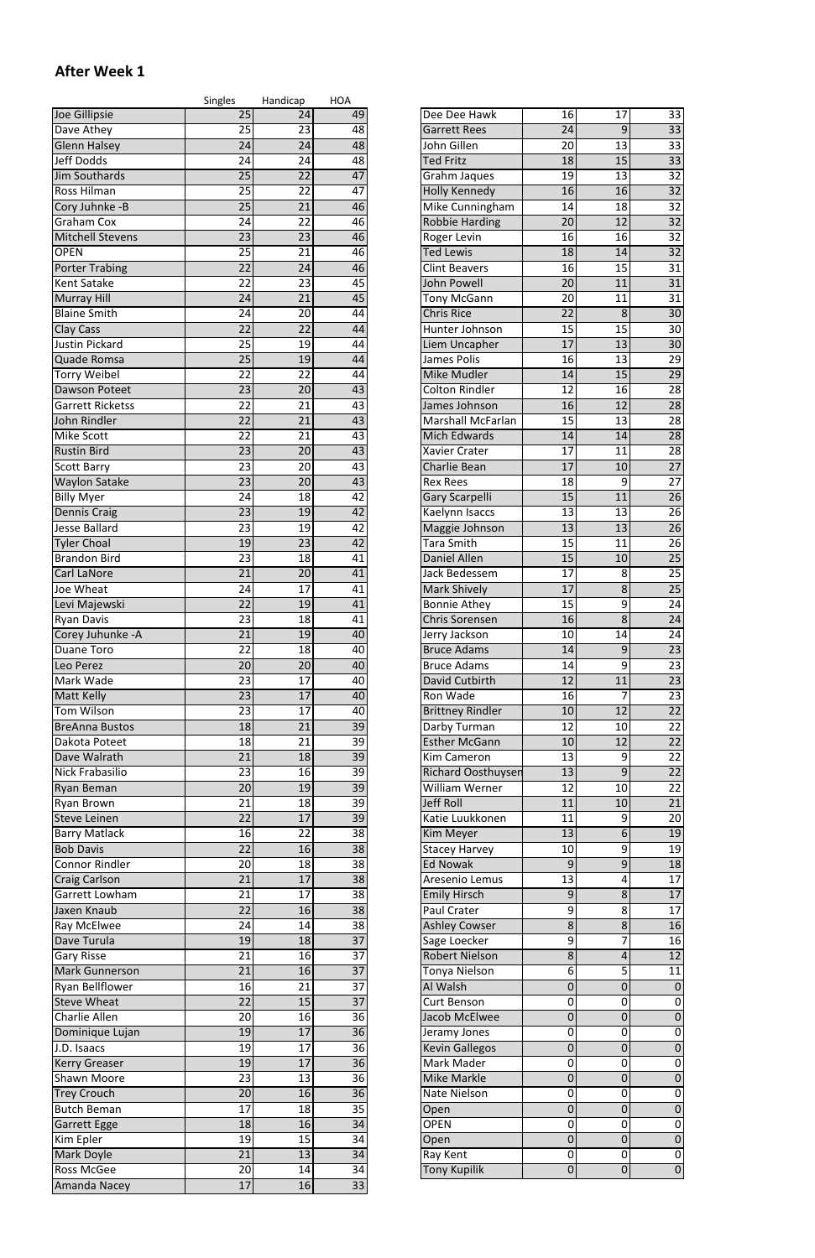## **After Week 1**

|                                           | <b>Singles</b>        | Handicap              | <b>HOA</b>      |                                            |                       |                  |                                    |
|-------------------------------------------|-----------------------|-----------------------|-----------------|--------------------------------------------|-----------------------|------------------|------------------------------------|
| Joe Gillipsie                             | 25                    | 24                    | 49              | Dee Dee Hawk                               | 16                    | 17               | 33                                 |
| Dave Athey                                | 25                    | 23                    | 48              | <b>Garrett Rees</b>                        | $\overline{24}$       | $\overline{9}$   | $\overline{33}$                    |
| <b>Glenn Halsey</b>                       | 24                    | 24                    | 48              | John Gillen                                | 20                    | 13               | 33                                 |
| <b>Jeff Dodds</b>                         | 24                    | 24                    | 48              | <b>Ted Fritz</b>                           | 18                    | 15               | $\overline{33}$                    |
| Jim Southards<br>Ross Hilman              | 25<br>$\overline{25}$ | 22<br>22              | 47<br>47        | Grahm Jaques<br><b>Holly Kennedy</b>       | 19<br>16              | 13<br>16         | $\overline{32}$<br>$\overline{32}$ |
| Cory Juhnke -B                            | 25                    | 21                    | 46              | Mike Cunningham                            | 14                    | 18               | 32                                 |
| <b>Graham Cox</b>                         | 24                    | 22                    | 46              | <b>Robbie Harding</b>                      | 20                    | 12               | $\overline{32}$                    |
| Mitchell Stevens                          | 23                    | 23                    | 46              | Roger Levin                                | 16                    | 16               | 32                                 |
| <b>OPEN</b>                               | 25                    | 21                    | 46              | <b>Ted Lewis</b>                           | 18                    | 14               | 32                                 |
| <b>Porter Trabing</b>                     | $\overline{22}$       | 24                    | 46              | <b>Clint Beavers</b>                       | 16                    | 15               | 31                                 |
| <b>Kent Satake</b>                        | $\overline{22}$       | $\overline{23}$       | 45              | John Powell                                | 20                    | 11               | $\overline{31}$                    |
| <b>Murray Hill</b>                        | 24                    | 21                    | 45              | <b>Tony McGann</b>                         | 20                    | 11               | 31                                 |
| <b>Blaine Smith</b>                       | 24                    | 20                    | 44              | <b>Chris Rice</b>                          | $\overline{22}$       | 8                | $\overline{30}$                    |
| <b>Clay Cass</b>                          | 22                    | 22                    | 44              | Hunter Johnson                             | 15                    | 15               | 30                                 |
| Justin Pickard                            | 25                    | 19                    | 44              | Liem Uncapher                              | 17                    | 13               | 30                                 |
| Quade Romsa<br><b>Torry Weibel</b>        | 25<br>$\overline{22}$ | 19<br>22              | 44<br>44        | James Polis<br><b>Mike Mudler</b>          | 16                    | 13<br>15         | 29<br>29                           |
| Dawson Poteet                             | 23                    | 20                    | 43              | <b>Colton Rindler</b>                      | 14<br>12              | 16               | 28                                 |
| <b>Garrett Ricketss</b>                   | 22                    | 21                    | 43              | James Johnson                              | 16                    | 12               | 28                                 |
| John Rindler                              | 22                    | 21                    | 43              | <b>Marshall McFarlan</b>                   | 15                    | 13               | 28                                 |
| <b>Mike Scott</b>                         | 22                    | 21                    | 43              | Mich Edwards                               | 14                    | 14               | 28                                 |
| <b>Rustin Bird</b>                        | $\overline{23}$       | 20                    | 43              | <b>Xavier Crater</b>                       | 17                    | 11               | 28                                 |
| <b>Scott Barry</b>                        | 23                    | 20                    | 43              | Charlie Bean                               | 17                    | 10               | 27                                 |
| <b>Waylon Satake</b>                      | 23                    | 20                    | 43              | <b>Rex Rees</b>                            | 18                    | 9                | 27                                 |
| <b>Billy Myer</b>                         | 24                    | 18                    | 42              | Gary Scarpelli                             | 15                    | 11               | 26                                 |
| <b>Dennis Craig</b>                       | $\overline{23}$       | 19                    | 42              | Kaelynn Isaccs                             | 13                    | 13               | $\overline{26}$                    |
| Jesse Ballard                             | 23                    | 19                    | 42              | Maggie Johnson                             | 13                    | 13               | 26                                 |
| <b>Tyler Choal</b>                        | 19                    | $\overline{23}$       | 42              | <b>Tara Smith</b>                          | 15                    | 11               | 26                                 |
| <b>Brandon Bird</b><br><b>Carl LaNore</b> | 23<br>$\overline{21}$ | 18<br>$\overline{20}$ | 41<br>41        | Daniel Allen<br>Jack Bedessem              | 15<br>$\overline{17}$ | 10<br>8          | 25<br>$\overline{25}$              |
| Joe Wheat                                 | 24                    | 17                    | 41              | <b>Mark Shively</b>                        | 17                    | 8                | 25                                 |
| Levi Majewski                             | 22                    | 19                    | 41              | <b>Bonnie Athey</b>                        | 15                    | 9                | 24                                 |
| <b>Ryan Davis</b>                         | 23                    | 18                    | 41              | <b>Chris Sorensen</b>                      | 16                    | 8                | 24                                 |
| Corey Juhunke - A                         | 21                    | 19                    | 40              | Jerry Jackson                              | 10                    | 14               | 24                                 |
| Duane Toro                                | 22                    | 18                    | 40              | <b>Bruce Adams</b>                         | 14                    | 9                | 23                                 |
| Leo Perez                                 | $\overline{20}$       | $\overline{20}$       | 40              | <b>Bruce Adams</b>                         | 14                    | 9                | $\overline{23}$                    |
| Mark Wade                                 | 23                    | 17                    | 40              | David Cutbirth                             | 12                    | 11               | 23                                 |
| <b>Matt Kelly</b>                         | $\overline{23}$       | 17                    | 40              | Ron Wade                                   | 16                    | 7                | $\overline{23}$                    |
| Tom Wilson                                | 23                    | 17                    | 40              | <b>Brittney Rindler</b>                    | 10                    | 12               | 22                                 |
| <b>BreAnna Bustos</b>                     | 18                    | 21<br>$\overline{21}$ | 39              | Darby Turman                               | 12                    | 10               | $\overline{22}$                    |
| Dakota Poteet<br>Dave Walrath             | 18<br>21              | 18                    | 39<br>39        | <b>Esther McGann</b><br><b>Kim Cameron</b> | 10<br>13              | 12<br>9          | 22<br>$\overline{22}$              |
| Nick Frabasilio                           | 23                    | 16                    | 39              | <b>Richard Oosthuysen</b>                  | 13                    | 9                | 22                                 |
| Ryan Beman                                | 20                    | 19                    | 39              | William Werner                             | 12                    | 10               | 22                                 |
| Ryan Brown                                | 21                    | 18                    | 39              | Jeff Roll                                  | 11                    | 10               | 21                                 |
| Steve Leinen                              | 22                    | 17                    | 39              | Katie Luukkonen                            | 11                    | 9                | 20                                 |
| <b>Barry Matlack</b>                      | 16                    | 22                    | 38              | <b>Kim Meyer</b>                           | 13                    | 6                | 19                                 |
| <b>Bob Davis</b>                          | 22                    | 16                    | 38              | <b>Stacey Harvey</b>                       | 10                    | 9                | 19                                 |
| <b>Connor Rindler</b>                     | 20                    | 18                    | 38              | <b>Ed Nowak</b>                            | 9                     | 9                | 18                                 |
| <b>Craig Carlson</b>                      | 21                    | 17                    | 38              | Aresenio Lemus                             | 13                    | 4                | 17                                 |
| Garrett Lowham<br>Jaxen Knaub             | 21<br>22              | 17<br>16              | 38<br>38        | <b>Emily Hirsch</b><br>Paul Crater         | 9<br>9                | 8<br>8           | 17<br>17                           |
| Ray McElwee                               | 24                    | 14                    | 38              | <b>Ashley Cowser</b>                       | 8                     | 8                | 16                                 |
| Dave Turula                               | 19                    | 18                    | 37              | Sage Loecker                               | 9                     | 7                | 16                                 |
| <b>Gary Risse</b>                         | 21                    | 16                    | 37              | <b>Robert Nielson</b>                      | 8                     | 4                | $\overline{12}$                    |
| Mark Gunnerson                            | 21                    | 16                    | 37              | Tonya Nielson                              | 6                     | 5                | 11                                 |
| <b>Ryan Bellflower</b>                    | 16                    | 21                    | 37              | Al Walsh                                   | 0                     | $\pmb{0}$        | $\overline{0}$                     |
| <b>Steve Wheat</b>                        | 22                    | 15                    | $\overline{37}$ | <b>Curt Benson</b>                         | 0                     | 0                | $\mathbf 0$                        |
| Charlie Allen                             | 20                    | 16                    | 36              | Jacob McElwee                              | $\overline{0}$        | $\boldsymbol{0}$ | $\mathbf 0$                        |
| Dominique Lujan                           | 19                    | 17                    | 36              | Jeramy Jones                               | 0                     | 0                | 0                                  |
| J.D. Isaacs                               | 19                    | 17                    | 36              | <b>Kevin Gallegos</b>                      | $\overline{0}$        | 0                | $\mathbf 0$                        |
| <b>Kerry Greaser</b>                      | 19                    | 17                    | 36              | Mark Mader                                 | 0                     | 0                | 0                                  |
| <b>Shawn Moore</b>                        | $\overline{23}$<br>20 | 13<br>16              | 36<br>36        | <b>Mike Markle</b><br>Nate Nielson         | 0                     | $\mathbf 0$      | $\mathbf 0$                        |
| <b>Trey Crouch</b><br>Butch Beman         | 17                    | 18                    | 35              | Open                                       | 0<br>0                | 0<br>0           | 0<br>$\mathbf 0$                   |
| Garrett Egge                              | 18                    | 16                    | 34              | <b>OPEN</b>                                | 0                     | 0                | $\mathbf 0$                        |
| Kim Epler                                 | $\overline{19}$       | 15                    | 34              | Open                                       | 0                     | $\mathbf 0$      | $\mathbf 0$                        |
| Mark Doyle                                | 21                    | 13                    | 34              | Ray Kent                                   | 0                     | $\overline{0}$   | 0                                  |
| <b>Ross McGee</b>                         | 20                    | 14                    | 34              | <b>Tony Kupilik</b>                        | $\overline{0}$        | $\mathbf 0$      | $\mathbf 0$                        |
| Amanda Nacey                              | 17                    | 16                    | 33              |                                            |                       |                  |                                    |

| Dee Dee Hawk                             | 16               | 17                  | 33                  |
|------------------------------------------|------------------|---------------------|---------------------|
| <b>Garrett Rees</b>                      | $\overline{24}$  | 9                   | $\overline{33}$     |
| John Gillen                              | 20               | $\overline{13}$     | 33                  |
| <b>Ted Fritz</b>                         | 18               | 15                  | 33                  |
| Grahm Jaques                             | 19<br>16         | 13                  | 32<br>32            |
| <b>Holly Kennedy</b>                     | 14               | 16<br>18            | 32                  |
| Mike Cunningham<br><b>Robbie Harding</b> | 20               | 12                  | $\overline{32}$     |
|                                          | $\overline{16}$  | $\overline{16}$     | $\overline{32}$     |
| Roger Levin<br><b>Ted Lewis</b>          | 18               | 14                  | 32                  |
| <b>Clint Beavers</b>                     | 16               | 15                  | 31                  |
| John Powell                              | 20               | 11                  | 31                  |
| <b>Tony McGann</b>                       | 20               | 11                  | 31                  |
| <b>Chris Rice</b>                        | $\overline{22}$  | 8                   | 30                  |
| Hunter Johnson                           | 15               | 15                  | 30                  |
| Liem Uncapher                            | 17               | 13                  | 30                  |
| James Polis                              | 16               | 13                  | 29                  |
| Mike Mudler                              | 14               | 15                  | 29                  |
| Colton Rindler                           | $\overline{12}$  | 16                  | 28                  |
| James Johnson                            | 16               | 12                  | 28                  |
| Marshall McFarlan                        | $\overline{15}$  | 13                  | 28                  |
| <b>Mich Edwards</b>                      | 14               | 14                  | 28                  |
| Xavier Crater                            | 17               | 11                  | 28                  |
| Charlie Bean                             | 17               | 10                  | 27                  |
| <b>Rex Rees</b>                          | 18               | 9                   | 27                  |
| Gary Scarpelli                           | 15               | $\overline{11}$     | 26                  |
| Kaelynn Isaccs                           | $\overline{13}$  | 13                  | 26                  |
| Maggie Johnson                           | 13               | $\overline{13}$     | 26                  |
| Tara Smith                               | 15               | 11                  | 26                  |
| Daniel Allen                             | $\overline{15}$  | $\overline{10}$     | $\overline{25}$     |
| Jack Bedessem                            | 17               | 8                   | 25                  |
| <b>Mark Shively</b>                      | 17               | 8                   | 25                  |
| <b>Bonnie Athey</b>                      | 15               | 9                   | 24                  |
| Chris Sorensen                           | $\overline{16}$  | 8                   | $\overline{24}$     |
| Jerry Jackson                            | 10               | 14                  | 24                  |
| <b>Bruce Adams</b>                       | 14               | 9                   | $\overline{23}$     |
| <b>Bruce Adams</b>                       | 14               | 9                   | 23                  |
| David Cutbirth                           | $\overline{12}$  | 11                  | $\overline{23}$     |
| Ron Wade                                 | 16               | 7                   | 23                  |
| <b>Brittney Rindler</b>                  | 10               | $\overline{12}$     | $\overline{22}$     |
| Darby Turman                             | 12               | 10                  | 22                  |
| <b>Esther McGann</b>                     | 10               | $\overline{12}$     | $\overline{22}$     |
| <b>Kim Cameron</b>                       | 13               | 9                   | 22                  |
| <b>Richard Oosthuysen</b>                | 13               | 9                   | $\overline{22}$     |
| William Werner                           | 12               | 10                  | 22                  |
| <b>Jeff Roll</b>                         | $\overline{11}$  | 10                  | $\overline{21}$     |
| Katie Luukkonen                          | 11               | 9                   | 20                  |
| Kim Meyer                                | 13               | 6                   | 19                  |
| <b>Stacey Harvey</b>                     | 10               | 9                   | 19                  |
| <b>Ed Nowak</b>                          | 9                | 9                   | 18                  |
| Aresenio Lemus                           | 13               | 4                   | 17                  |
| <b>Emily Hirsch</b>                      | 9                | 8                   | $\overline{17}$     |
| Paul Crater                              | 9                | 8                   | 17                  |
| <b>Ashley Cowser</b>                     | 8                | 8                   | 16                  |
| Sage Loecker                             | 9                | 7                   | 16                  |
| <b>Robert Nielson</b>                    | 8                | 4                   | $\overline{12}$     |
| Tonya Nielson                            | 6                | 5                   | 11                  |
| Al Walsh                                 | 0                | $\overline{0}$      | 0                   |
| <b>Curt Benson</b>                       | 0                | 0                   | 0                   |
| Jacob McElwee                            | $\Omega$         | 0                   | $\Omega$            |
| Jeramy Jones                             | 0                | 0                   | 0                   |
| <b>Kevin Gallegos</b>                    | 0                | $\overline{0}$      | 0                   |
| Mark Mader<br><b>Mike Markle</b>         | 0                | 0<br>$\overline{0}$ | 0<br>0              |
| Nate Nielson                             | 0                | 0                   |                     |
|                                          | 0<br>$\mathbf 0$ | $\overline{0}$      | 0<br>$\overline{0}$ |
| Open<br>OPEN                             | 0                | 0                   | 0                   |
| Open                                     | 0                | $\overline{0}$      | 0                   |
| Ray Kent                                 | 0                | 0                   | 0                   |
| Tony Kupilik                             | 0                | $\overline{0}$      | $\overline{0}$      |
|                                          |                  |                     |                     |